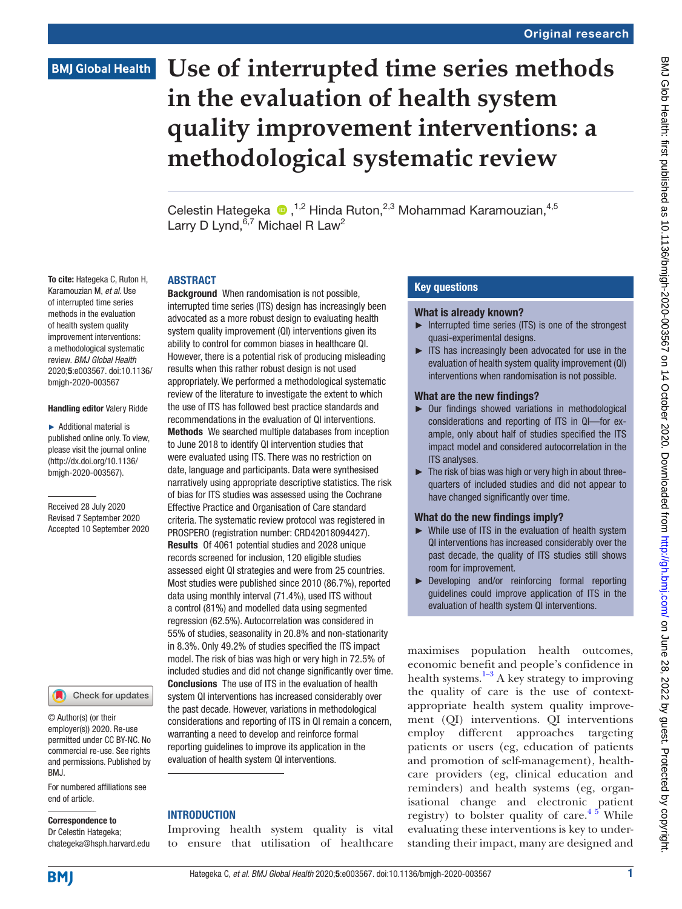# **BMJ Global Health**

# **Use of interrupted time series methods in the evaluation of health system quality improvement interventions: a methodological systematic review**

CelestinHategeka  $\bullet$ ,<sup>1,2</sup> Hinda Ruton,<sup>2,3</sup> Mohammad Karamouzian,<sup>4,5</sup> Larry D Lynd, <sup>6,7</sup> Michael R Law<sup>2</sup>

#### **ARSTRACT**

To cite: Hategeka C, Ruton H, Karamouzian M, *et al*. Use of interrupted time series methods in the evaluation of health system quality improvement interventions: a methodological systematic review. *BMJ Global Health* 2020;5:e003567. doi:10.1136/ bmjgh-2020-003567

#### Handling editor Valery Ridde

► Additional material is published online only. To view, please visit the journal online (http://dx.doi.org/10.1136/ bmjgh-2020-003567).

Received 28 July 2020 Revised 7 September 2020 Accepted 10 September 2020



© Author(s) (or their employer(s)) 2020. Re-use permitted under CC BY-NC. No commercial re-use. See rights and permissions. Published by BMJ.

For numbered affiliations see end of article.

#### Correspondence to

Dr Celestin Hategeka; chategeka@hsph.harvard.edu Background When randomisation is not possible, interrupted time series (ITS) design has increasingly been advocated as a more robust design to evaluating health system quality improvement (QI) interventions given its ability to control for common biases in healthcare QI. However, there is a potential risk of producing misleading results when this rather robust design is not used appropriately. We performed a methodological systematic review of the literature to investigate the extent to which the use of ITS has followed best practice standards and recommendations in the evaluation of QI interventions. Methods We searched multiple databases from inception to June 2018 to identify QI intervention studies that were evaluated using ITS. There was no restriction on date, language and participants. Data were synthesised narratively using appropriate descriptive statistics. The risk of bias for ITS studies was assessed using the Cochrane Effective Practice and Organisation of Care standard criteria. The systematic review protocol was registered in PROSPERO (registration number: CRD42018094427). Results Of 4061 potential studies and 2028 unique records screened for inclusion, 120 eligible studies assessed eight QI strategies and were from 25 countries. Most studies were published since 2010 (86.7%), reported data using monthly interval (71.4%), used ITS without a control (81%) and modelled data using segmented regression (62.5%). Autocorrelation was considered in 55% of studies, seasonality in 20.8% and non-stationarity in 8.3%. Only 49.2% of studies specified the ITS impact model. The risk of bias was high or very high in 72.5% of included studies and did not change significantly over time. Conclusions The use of ITS in the evaluation of health system QI interventions has increased considerably over the past decade. However, variations in methodological considerations and reporting of ITS in QI remain a concern, warranting a need to develop and reinforce formal reporting guidelines to improve its application in the evaluation of health system QI interventions.

### INTRODUCTION

Improving health system quality is vital to ensure that utilisation of healthcare

#### Key questions

#### What is already known?

- ► Interrupted time series (ITS) is one of the strongest quasi-experimental designs.
- ► ITS has increasingly been advocated for use in the evaluation of health system quality improvement (QI) interventions when randomisation is not possible.

#### What are the new findings?

- ► Our findings showed variations in methodological considerations and reporting of ITS in QI—for example, only about half of studies specified the ITS impact model and considered autocorrelation in the ITS analyses.
- $\blacktriangleright$  The risk of bias was high or very high in about threequarters of included studies and did not appear to have changed significantly over time.

#### What do the new findings imply?

- ► While use of ITS in the evaluation of health system QI interventions has increased considerably over the past decade, the quality of ITS studies still shows room for improvement.
- ► Developing and/or reinforcing formal reporting guidelines could improve application of ITS in the evaluation of health system QI interventions.

maximises population health outcomes, economic benefit and people's confidence in health systems. $1-3$  A key strategy to improving the quality of care is the use of contextappropriate health system quality improvement (QI) interventions. QI interventions employ different approaches targeting patients or users (eg, education of patients and promotion of self-management), healthcare providers (eg, clinical education and reminders) and health systems (eg, organisational change and electronic patient registry) to bolster quality of care.<sup>45</sup> While evaluating these interventions is key to understanding their impact, many are designed and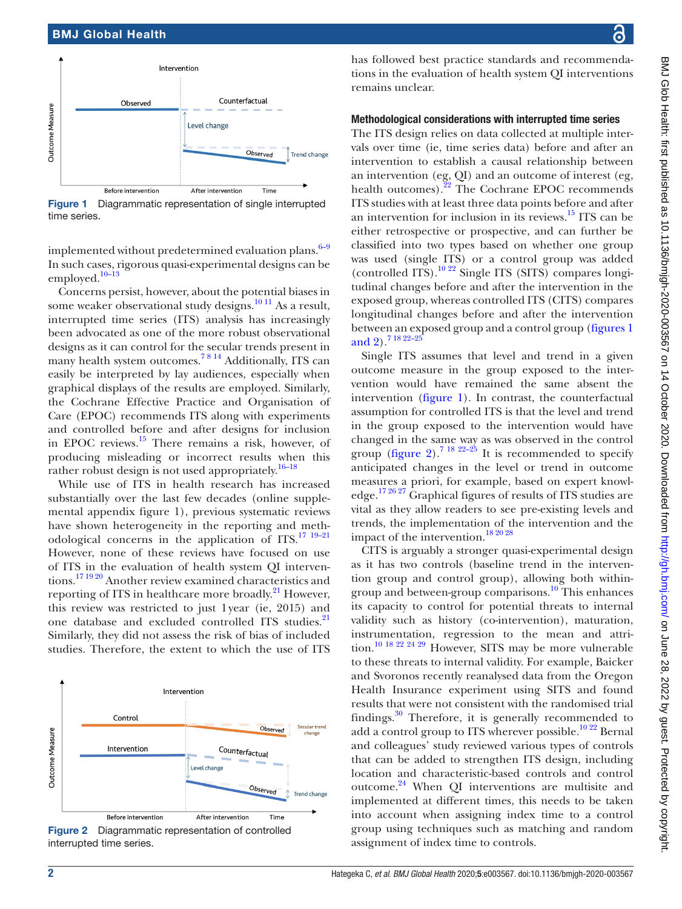

<span id="page-1-0"></span>Figure 1 Diagrammatic representation of single interrupted time series.

implemented without predetermined evaluation plans. $6-9$ In such cases, rigorous quasi-experimental designs can be employed.[10–13](#page-9-0)

Concerns persist, however, about the potential biases in some weaker observational study designs.<sup>10 11</sup> As a result, interrupted time series (ITS) analysis has increasingly been advocated as one of the more robust observational designs as it can control for the secular trends present in many health system outcomes.<sup>7814</sup> Additionally, ITS can easily be interpreted by lay audiences, especially when graphical displays of the results are employed. Similarly, the Cochrane Effective Practice and Organisation of Care (EPOC) recommends ITS along with experiments and controlled before and after designs for inclusion in EPOC reviews.<sup>15</sup> There remains a risk, however, of producing misleading or incorrect results when this rather robust design is not used appropriately.<sup>[16–18](#page-9-3)</sup>

While use of ITS in health research has increased substantially over the last few decades ([online supple](https://dx.doi.org/10.1136/bmjgh-2020-003567)[mental appendix figure 1](https://dx.doi.org/10.1136/bmjgh-2020-003567)), previous systematic reviews have shown heterogeneity in the reporting and methodological concerns in the application of ITS.[17 19–21](#page-9-4) However, none of these reviews have focused on use of ITS in the evaluation of health system QI interventions.[17 19 20](#page-9-4) Another review examined characteristics and reporting of ITS in healthcare more broadly.<sup>[21](#page-9-5)</sup> However, this review was restricted to just 1 year (ie, 2015) and one database and excluded controlled ITS studies.<sup>[21](#page-9-5)</sup> Similarly, they did not assess the risk of bias of included studies. Therefore, the extent to which the use of ITS



<span id="page-1-1"></span>Figure 2 Diagrammatic representation of controlled interrupted time series.

has followed best practice standards and recommendations in the evaluation of health system QI interventions remains unclear.

#### Methodological considerations with interrupted time series

The ITS design relies on data collected at multiple intervals over time (ie, time series data) before and after an intervention to establish a causal relationship between an intervention (eg, QI) and an outcome of interest (eg, health outcomes). $\frac{2}{2}$  The Cochrane EPOC recommends ITS studies with at least three data points before and after an intervention for inclusion in its reviews. $^{15}$  ITS can be either retrospective or prospective, and can further be classified into two types based on whether one group was used (single ITS) or a control group was added (controlled ITS).<sup>[10 22](#page-9-0)</sup> Single ITS (SITS) compares longitudinal changes before and after the intervention in the exposed group, whereas controlled ITS (CITS) compares longitudinal changes before and after the intervention between an exposed group and a control group [\(figures](#page-1-0) 1 [and 2](#page-1-0)).<sup>7</sup> <sup>18 22-25</sup>

Single ITS assumes that level and trend in a given outcome measure in the group exposed to the intervention would have remained the same absent the intervention [\(figure](#page-1-0) 1). In contrast, the counterfactual assumption for controlled ITS is that the level and trend in the group exposed to the intervention would have changed in the same way as was observed in the control group ([figure](#page-1-1) 2).<sup>[7 18 22–25](#page-9-1)</sup> It is recommended to specify anticipated changes in the level or trend in outcome measures a priori, for example, based on expert knowledge.[17 26 27](#page-9-4) Graphical figures of results of ITS studies are vital as they allow readers to see pre-existing levels and trends, the implementation of the intervention and the impact of the intervention.<sup>18 20</sup> <sup>28</sup>

CITS is arguably a stronger quasi-experimental design as it has two controls (baseline trend in the intervention group and control group), allowing both withingroup and between-group comparisons.<sup>10</sup> This enhances its capacity to control for potential threats to internal validity such as history (co-intervention), maturation, instrumentation, regression to the mean and attrition[.10 18 22 24 29](#page-9-0) However, SITS may be more vulnerable to these threats to internal validity. For example, Baicker and Svoronos recently reanalysed data from the Oregon Health Insurance experiment using SITS and found results that were not consistent with the randomised trial findings. $30$  Therefore, it is generally recommended to add a control group to ITS wherever possible.<sup>10 22</sup> Bernal and colleagues' study reviewed various types of controls that can be added to strengthen ITS design, including location and characteristic-based controls and control outcome.[24](#page-9-9) When QI interventions are multisite and implemented at different times, this needs to be taken into account when assigning index time to a control group using techniques such as matching and random assignment of index time to controls.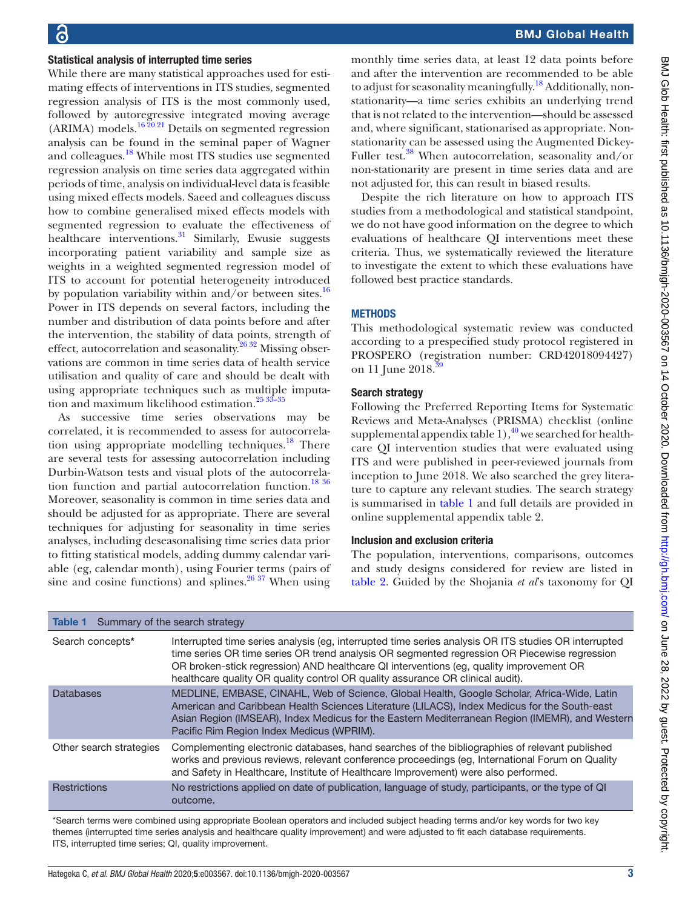#### Statistical analysis of interrupted time series

While there are many statistical approaches used for estimating effects of interventions in ITS studies, segmented regression analysis of ITS is the most commonly used, followed by autoregressive integrated moving average (ARIMA) models. $16\frac{20\frac{21}{2}}{20\frac{21}{2}}$  Details on segmented regression analysis can be found in the seminal paper of Wagner and colleagues.[18](#page-9-7) While most ITS studies use segmented regression analysis on time series data aggregated within periods of time, analysis on individual-level data is feasible using mixed effects models. Saeed and colleagues discuss how to combine generalised mixed effects models with segmented regression to evaluate the effectiveness of healthcare interventions.<sup>31</sup> Similarly, Ewusie suggests incorporating patient variability and sample size as weights in a weighted segmented regression model of ITS to account for potential heterogeneity introduced by population variability within and/or between sites.<sup>[16](#page-9-3)</sup> Power in ITS depends on several factors, including the number and distribution of data points before and after the intervention, the stability of data points, strength of effect, autocorrelation and seasonality.<sup>26 32</sup> Missing observations are common in time series data of health service utilisation and quality of care and should be dealt with using appropriate techniques such as multiple imputation and maximum likelihood estimation.[25 33–35](#page-9-12)

As successive time series observations may be correlated, it is recommended to assess for autocorrelation using appropriate modelling techniques.<sup>18</sup> There are several tests for assessing autocorrelation including Durbin-Watson tests and visual plots of the autocorrela-tion function and partial autocorrelation function.<sup>[18 36](#page-9-7)</sup> Moreover, seasonality is common in time series data and should be adjusted for as appropriate. There are several techniques for adjusting for seasonality in time series analyses, including deseasonalising time series data prior to fitting statistical models, adding dummy calendar variable (eg, calendar month), using Fourier terms (pairs of sine and cosine functions) and splines. $26\frac{37}{7}$  When using

#### BMJ Global Health

monthly time series data, at least 12 data points before and after the intervention are recommended to be able to adjust for seasonality meaningfully.<sup>[18](#page-9-7)</sup> Additionally, nonstationarity—a time series exhibits an underlying trend that is not related to the intervention—should be assessed and, where significant, stationarised as appropriate. Nonstationarity can be assessed using the Augmented Dickey-Fuller test.<sup>[38](#page-9-13)</sup> When autocorrelation, seasonality and/or non-stationarity are present in time series data and are not adjusted for, this can result in biased results.

Despite the rich literature on how to approach ITS studies from a methodological and statistical standpoint, we do not have good information on the degree to which evaluations of healthcare QI interventions meet these criteria. Thus, we systematically reviewed the literature to investigate the extent to which these evaluations have followed best practice standards.

#### **METHODS**

This methodological systematic review was conducted according to a prespecified study protocol registered in PROSPERO (registration number: CRD42018094427) on 11 June  $2018$ .

#### Search strategy

Following the Preferred Reporting Items for Systematic Reviews and Meta-Analyses (PRISMA) checklist [\(online](https://dx.doi.org/10.1136/bmjgh-2020-003567) [supplemental appendix table 1](https://dx.doi.org/10.1136/bmjgh-2020-003567)),  $^{40}$  we searched for healthcare QI intervention studies that were evaluated using ITS and were published in peer-reviewed journals from inception to June 2018. We also searched the grey literature to capture any relevant studies. The search strategy is summarised in [table](#page-2-0) 1 and full details are provided in [online supplemental appendix table 2](https://dx.doi.org/10.1136/bmjgh-2020-003567).

#### Inclusion and exclusion criteria

The population, interventions, comparisons, outcomes and study designs considered for review are listed in [table](#page-3-0) 2. Guided by the Shojania *et al*'s taxonomy for QI

<span id="page-2-0"></span>

| Table 1                 | Summary of the search strategy                                                                                                                                                                                                                                                                                                                                                    |
|-------------------------|-----------------------------------------------------------------------------------------------------------------------------------------------------------------------------------------------------------------------------------------------------------------------------------------------------------------------------------------------------------------------------------|
| Search concepts*        | Interrupted time series analysis (eg, interrupted time series analysis OR ITS studies OR interrupted<br>time series OR time series OR trend analysis OR segmented regression OR Piecewise regression<br>OR broken-stick regression) AND healthcare QI interventions (eq. quality improvement OR<br>healthcare quality OR quality control OR quality assurance OR clinical audit). |
| <b>Databases</b>        | MEDLINE, EMBASE, CINAHL, Web of Science, Global Health, Google Scholar, Africa-Wide, Latin<br>American and Caribbean Health Sciences Literature (LILACS), Index Medicus for the South-east<br>Asian Region (IMSEAR), Index Medicus for the Eastern Mediterranean Region (IMEMR), and Western<br>Pacific Rim Region Index Medicus (WPRIM).                                         |
| Other search strategies | Complementing electronic databases, hand searches of the bibliographies of relevant published<br>works and previous reviews, relevant conference proceedings (eg, International Forum on Quality<br>and Safety in Healthcare, Institute of Healthcare Improvement) were also performed.                                                                                           |
| <b>Restrictions</b>     | No restrictions applied on date of publication, language of study, participants, or the type of QI<br>outcome.                                                                                                                                                                                                                                                                    |

\*Search terms were combined using appropriate Boolean operators and included subject heading terms and/or key words for two key themes (interrupted time series analysis and healthcare quality improvement) and were adjusted to fit each database requirements. ITS, interrupted time series; QI, quality improvement.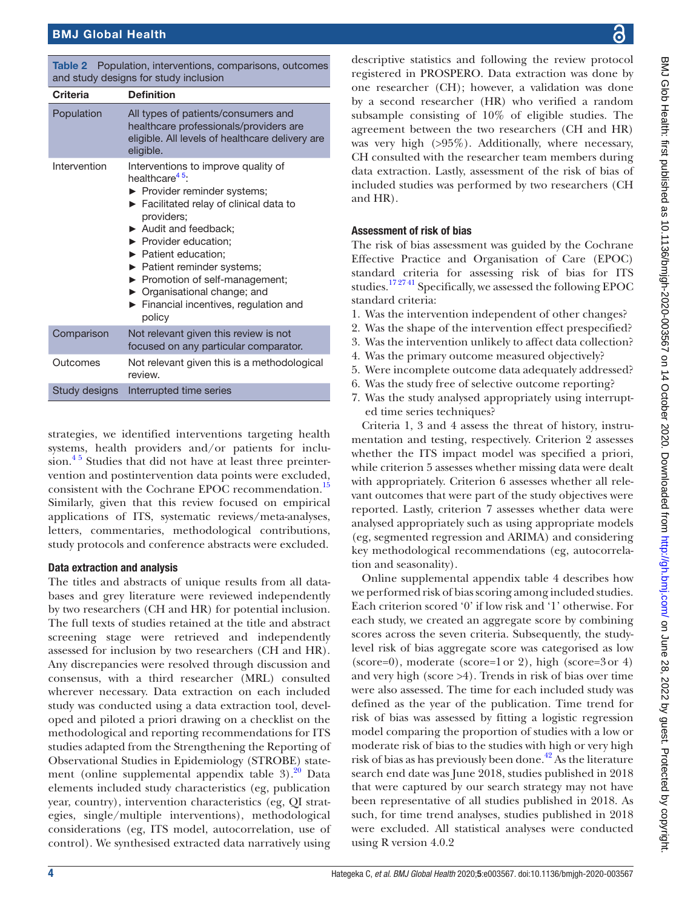<span id="page-3-0"></span>

| <b>Table 2</b> Population, interventions, comparisons, outcomes |  |
|-----------------------------------------------------------------|--|
| and study designs for study inclusion                           |  |

| <b>Criteria</b> | <b>Definition</b>                                                                                                                                                                                                                                                                                                                                                                                                       |
|-----------------|-------------------------------------------------------------------------------------------------------------------------------------------------------------------------------------------------------------------------------------------------------------------------------------------------------------------------------------------------------------------------------------------------------------------------|
| Population      | All types of patients/consumers and<br>healthcare professionals/providers are<br>eligible. All levels of healthcare delivery are<br>eligible.                                                                                                                                                                                                                                                                           |
| Intervention    | Interventions to improve quality of<br>healthcare <sup>45</sup> :<br>▶ Provider reminder systems;<br>Facilitated relay of clinical data to<br>providers;<br>Audit and feedback;<br>Provider education;<br>▶ Patient education:<br>▶ Patient reminder systems;<br>▶ Promotion of self-management;<br>$\triangleright$ Organisational change; and<br>$\blacktriangleright$ Financial incentives, regulation and<br>policy |
| Comparison      | Not relevant given this review is not<br>focused on any particular comparator.                                                                                                                                                                                                                                                                                                                                          |
| Outcomes        | Not relevant given this is a methodological<br>review.                                                                                                                                                                                                                                                                                                                                                                  |
| Study designs   | Interrupted time series                                                                                                                                                                                                                                                                                                                                                                                                 |

strategies, we identified interventions targeting health systems, health providers and/or patients for inclu $sion.<sup>45</sup>$  Studies that did not have at least three preintervention and postintervention data points were excluded, consistent with the Cochrane EPOC recommendation.<sup>[15](#page-9-2)</sup> Similarly, given that this review focused on empirical applications of ITS, systematic reviews/meta-analyses, letters, commentaries, methodological contributions, study protocols and conference abstracts were excluded.

#### Data extraction and analysis

The titles and abstracts of unique results from all databases and grey literature were reviewed independently by two researchers (CH and HR) for potential inclusion. The full texts of studies retained at the title and abstract screening stage were retrieved and independently assessed for inclusion by two researchers (CH and HR). Any discrepancies were resolved through discussion and consensus, with a third researcher (MRL) consulted wherever necessary. Data extraction on each included study was conducted using a data extraction tool, developed and piloted a priori drawing on a checklist on the methodological and reporting recommendations for ITS studies adapted from the Strengthening the Reporting of Observational Studies in Epidemiology (STROBE) state-ment [\(online supplemental appendix table 3](https://dx.doi.org/10.1136/bmjgh-2020-003567)).<sup>[20](#page-9-16)</sup> Data elements included study characteristics (eg, publication year, country), intervention characteristics (eg, QI strategies, single/multiple interventions), methodological considerations (eg, ITS model, autocorrelation, use of control). We synthesised extracted data narratively using

descriptive statistics and following the review protocol registered in PROSPERO. Data extraction was done by one researcher (CH); however, a validation was done by a second researcher (HR) who verified a random subsample consisting of 10% of eligible studies. The agreement between the two researchers (CH and HR) was very high (>95%). Additionally, where necessary, CH consulted with the researcher team members during data extraction. Lastly, assessment of the risk of bias of included studies was performed by two researchers (CH and HR).

#### Assessment of risk of bias

The risk of bias assessment was guided by the Cochrane Effective Practice and Organisation of Care (EPOC) standard criteria for assessing risk of bias for ITS studies.[17 27 41](#page-9-4) Specifically, we assessed the following EPOC standard criteria:

- 1. Was the intervention independent of other changes?
- 2. Was the shape of the intervention effect prespecified?
- 3. Was the intervention unlikely to affect data collection?
- 4. Was the primary outcome measured objectively?
- 5. Were incomplete outcome data adequately addressed?
- 6. Was the study free of selective outcome reporting?
- 7. Was the study analysed appropriately using interrupted time series techniques?

Criteria 1, 3 and 4 assess the threat of history, instrumentation and testing, respectively. Criterion 2 assesses whether the ITS impact model was specified a priori, while criterion 5 assesses whether missing data were dealt with appropriately. Criterion 6 assesses whether all relevant outcomes that were part of the study objectives were reported. Lastly, criterion 7 assesses whether data were analysed appropriately such as using appropriate models (eg, segmented regression and ARIMA) and considering key methodological recommendations (eg, autocorrelation and seasonality).

[Online supplemental appendix table 4](https://dx.doi.org/10.1136/bmjgh-2020-003567) describes how we performed risk of bias scoring among included studies. Each criterion scored '0' if low risk and '1' otherwise. For each study, we created an aggregate score by combining scores across the seven criteria. Subsequently, the studylevel risk of bias aggregate score was categorised as low (score=0), moderate (score=1or 2), high (score=3or 4) and very high (score >4). Trends in risk of bias over time were also assessed. The time for each included study was defined as the year of the publication. Time trend for risk of bias was assessed by fitting a logistic regression model comparing the proportion of studies with a low or moderate risk of bias to the studies with high or very high risk of bias as has previously been done.<sup>[42](#page-9-17)</sup> As the literature search end date was June 2018, studies published in 2018 that were captured by our search strategy may not have been representative of all studies published in 2018. As such, for time trend analyses, studies published in 2018 were excluded. All statistical analyses were conducted using R version 4.0.2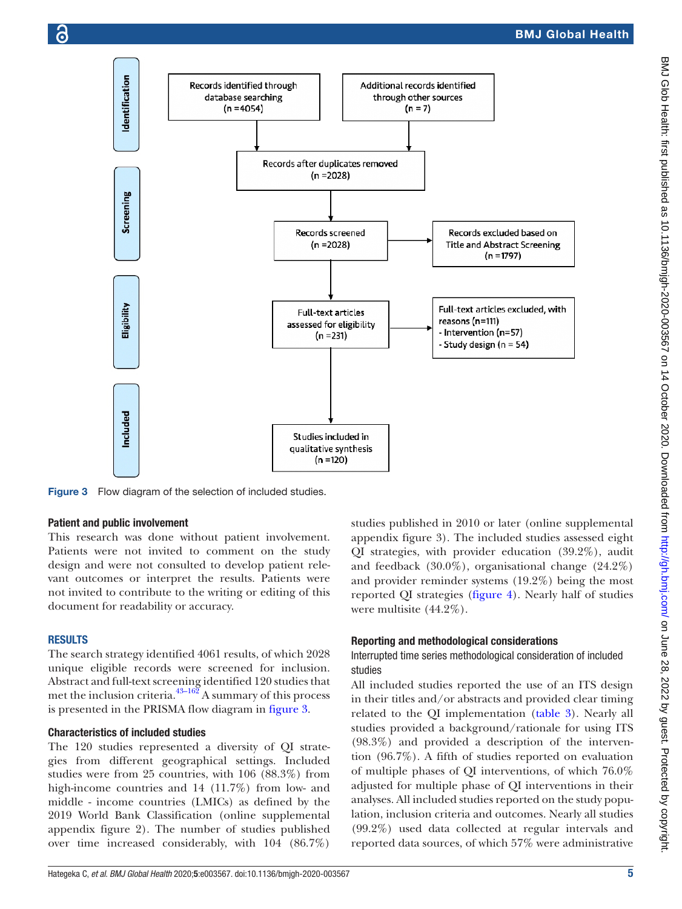

<span id="page-4-0"></span>Figure 3 Flow diagram of the selection of included studies.

#### Patient and public involvement

This research was done without patient involvement. Patients were not invited to comment on the study design and were not consulted to develop patient relevant outcomes or interpret the results. Patients were not invited to contribute to the writing or editing of this document for readability or accuracy.

#### RESULTS

The search strategy identified 4061 results, of which 2028 unique eligible records were screened for inclusion. Abstract and full-text screening identified 120 studies that met the inclusion criteria. $4^{3-162}$  A summary of this process is presented in the PRISMA flow diagram in [figure](#page-4-0) 3.

#### Characteristics of included studies

The 120 studies represented a diversity of QI strategies from different geographical settings. Included studies were from 25 countries, with 106 (88.3%) from high-income countries and 14 (11.7%) from low- and middle - income countries (LMICs) as defined by the 2019 World Bank Classification ([online supplemental](https://dx.doi.org/10.1136/bmjgh-2020-003567) [appendix figure 2\)](https://dx.doi.org/10.1136/bmjgh-2020-003567). The number of studies published over time increased considerably, with 104 (86.7%)

studies published in 2010 or later ([online supplemental](https://dx.doi.org/10.1136/bmjgh-2020-003567) [appendix figure 3](https://dx.doi.org/10.1136/bmjgh-2020-003567)). The included studies assessed eight QI strategies, with provider education (39.2%), audit and feedback (30.0%), organisational change (24.2%) and provider reminder systems (19.2%) being the most reported QI strategies ([figure](#page-5-0) 4). Nearly half of studies were multisite (44.2%).

#### Reporting and methodological considerations

Interrupted time series methodological consideration of included studies

All included studies reported the use of an ITS design in their titles and/or abstracts and provided clear timing related to the QI implementation [\(table](#page-6-0) 3). Nearly all studies provided a background/rationale for using ITS (98.3%) and provided a description of the intervention (96.7%). A fifth of studies reported on evaluation of multiple phases of QI interventions, of which 76.0% adjusted for multiple phase of QI interventions in their analyses. All included studies reported on the study population, inclusion criteria and outcomes. Nearly all studies (99.2%) used data collected at regular intervals and reported data sources, of which 57% were administrative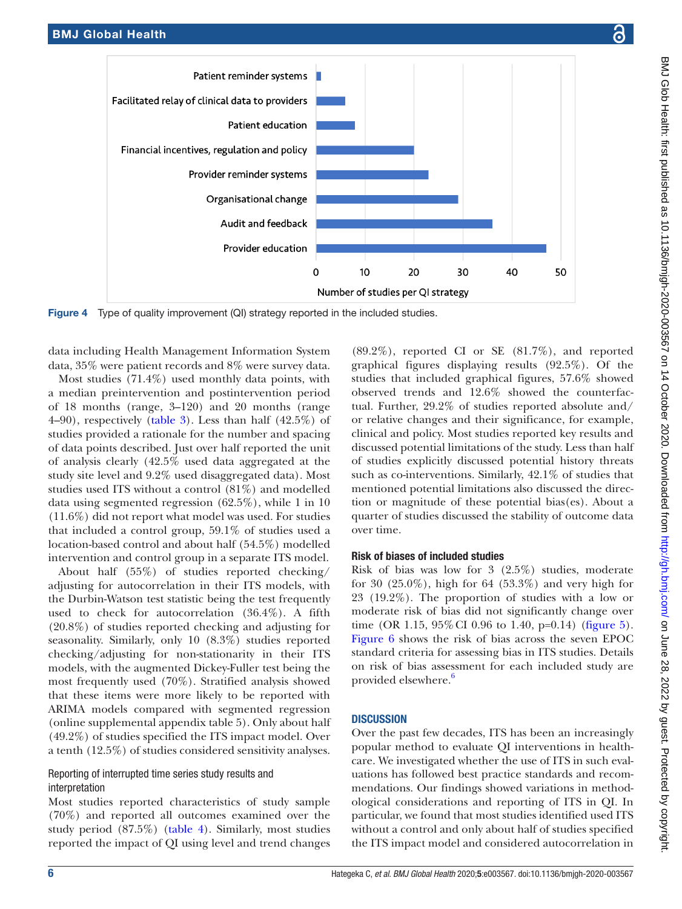

<span id="page-5-0"></span>Figure 4 Type of quality improvement (QI) strategy reported in the included studies.

data including Health Management Information System data, 35% were patient records and 8% were survey data.

Most studies (71.4%) used monthly data points, with a median preintervention and postintervention period of 18 months (range, 3–120) and 20 months (range 4–90), respectively [\(table](#page-6-0) 3). Less than half (42.5%) of studies provided a rationale for the number and spacing of data points described. Just over half reported the unit of analysis clearly (42.5% used data aggregated at the study site level and 9.2% used disaggregated data). Most studies used ITS without a control (81%) and modelled data using segmented regression (62.5%), while 1 in 10 (11.6%) did not report what model was used. For studies that included a control group, 59.1% of studies used a location-based control and about half (54.5%) modelled intervention and control group in a separate ITS model.

About half (55%) of studies reported checking/ adjusting for autocorrelation in their ITS models, with the Durbin-Watson test statistic being the test frequently used to check for autocorrelation (36.4%). A fifth (20.8%) of studies reported checking and adjusting for seasonality. Similarly, only 10 (8.3%) studies reported checking/adjusting for non-stationarity in their ITS models, with the augmented Dickey-Fuller test being the most frequently used (70%). Stratified analysis showed that these items were more likely to be reported with ARIMA models compared with segmented regression ([online supplemental appendix table 5](https://dx.doi.org/10.1136/bmjgh-2020-003567)). Only about half (49.2%) of studies specified the ITS impact model. Over a tenth (12.5%) of studies considered sensitivity analyses.

#### Reporting of interrupted time series study results and interpretation

Most studies reported characteristics of study sample (70%) and reported all outcomes examined over the study period (87.5%) [\(table](#page-7-0) 4). Similarly, most studies reported the impact of QI using level and trend changes

 $(89.2\%)$ , reported CI or SE  $(81.7\%)$ , and reported graphical figures displaying results (92.5%). Of the studies that included graphical figures, 57.6% showed observed trends and 12.6% showed the counterfactual. Further, 29.2% of studies reported absolute and/ or relative changes and their significance, for example, clinical and policy. Most studies reported key results and discussed potential limitations of the study. Less than half of studies explicitly discussed potential history threats such as co-interventions. Similarly, 42.1% of studies that mentioned potential limitations also discussed the direction or magnitude of these potential bias(es). About a quarter of studies discussed the stability of outcome data over time.

### Risk of biases of included studies

Risk of bias was low for 3 (2.5%) studies, moderate for 30 (25.0%), high for 64 (53.3%) and very high for 23 (19.2%). The proportion of studies with a low or moderate risk of bias did not significantly change over time (OR 1.15, 95% CI 0.96 to 1.40, p=0.14) ([figure](#page-7-1) 5). [Figure](#page-7-2) 6 shows the risk of bias across the seven EPOC standard criteria for assessing bias in ITS studies. Details on risk of bias assessment for each included study are provided elsewhere.<sup>6</sup>

## **DISCUSSION**

Over the past few decades, ITS has been an increasingly popular method to evaluate QI interventions in healthcare. We investigated whether the use of ITS in such evaluations has followed best practice standards and recommendations. Our findings showed variations in methodological considerations and reporting of ITS in QI. In particular, we found that most studies identified used ITS without a control and only about half of studies specified the ITS impact model and considered autocorrelation in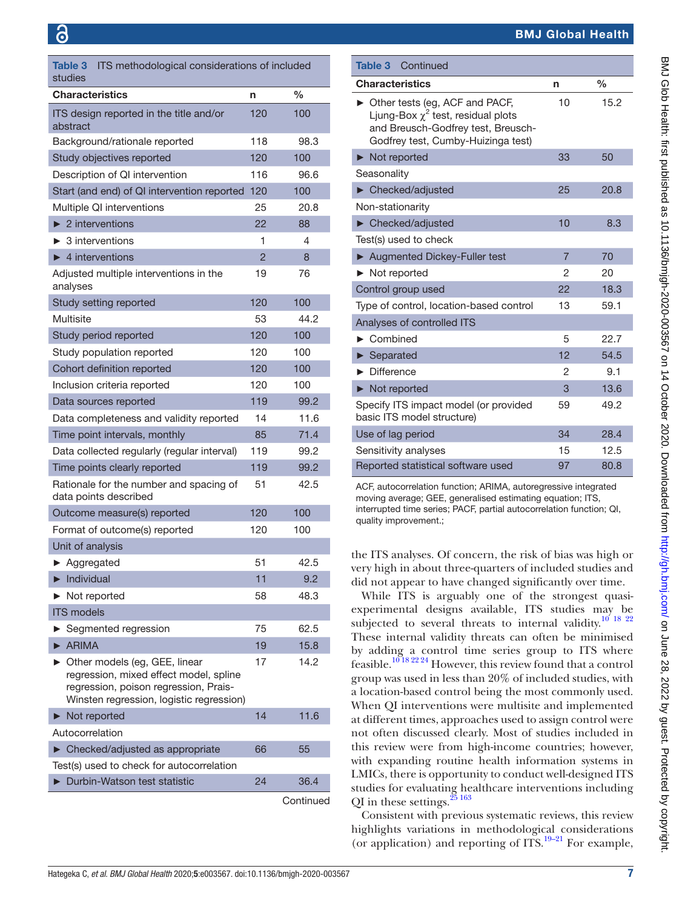<span id="page-6-0"></span>Table 3 ITS methodological considerations of included studies

| <b>Characteristics</b>                                                                                                                                         | n              | $\frac{0}{0}$ |  |
|----------------------------------------------------------------------------------------------------------------------------------------------------------------|----------------|---------------|--|
| ITS design reported in the title and/or<br>abstract                                                                                                            | 120            | 100           |  |
| Background/rationale reported                                                                                                                                  | 118            | 98.3          |  |
| Study objectives reported                                                                                                                                      | 120            | 100           |  |
| Description of QI intervention                                                                                                                                 | 116            | 96.6          |  |
| Start (and end) of QI intervention reported                                                                                                                    | 120            | 100           |  |
| Multiple QI interventions                                                                                                                                      | 25             | 20.8          |  |
| $\blacktriangleright$ 2 interventions                                                                                                                          | 22             | 88            |  |
| $\triangleright$ 3 interventions                                                                                                                               | 1              | 4             |  |
| $\blacktriangleright$ 4 interventions                                                                                                                          | $\overline{2}$ | 8             |  |
| Adjusted multiple interventions in the<br>analyses                                                                                                             | 19             | 76            |  |
| Study setting reported                                                                                                                                         | 120            | 100           |  |
| Multisite                                                                                                                                                      | 53             | 44.2          |  |
| Study period reported                                                                                                                                          | 120            | 100           |  |
| Study population reported                                                                                                                                      | 120            | 100           |  |
| Cohort definition reported                                                                                                                                     | 120            | 100           |  |
| Inclusion criteria reported                                                                                                                                    | 120            | 100           |  |
| Data sources reported                                                                                                                                          | 119            | 99.2          |  |
| Data completeness and validity reported                                                                                                                        | 14             | 11.6          |  |
| Time point intervals, monthly                                                                                                                                  | 85             | 71.4          |  |
| Data collected regularly (regular interval)                                                                                                                    | 119            | 99.2          |  |
| Time points clearly reported                                                                                                                                   | 119            | 99.2          |  |
| Rationale for the number and spacing of<br>51<br>data points described                                                                                         |                | 42.5          |  |
| Outcome measure(s) reported                                                                                                                                    | 120            | 100           |  |
| Format of outcome(s) reported                                                                                                                                  |                | 100           |  |
| Unit of analysis                                                                                                                                               |                |               |  |
| Aggregated                                                                                                                                                     | 51             | 42.5          |  |
| Individual<br>▶                                                                                                                                                | 11             | 9.2           |  |
| Not reported                                                                                                                                                   | 58             | 48.3          |  |
| <b>ITS models</b>                                                                                                                                              |                |               |  |
| Segmented regression                                                                                                                                           | 75             | 62.5          |  |
| ARIMA                                                                                                                                                          | 19             | 15.8          |  |
| ▶ Other models (eg, GEE, linear<br>regression, mixed effect model, spline<br>regression, poison regression, Prais-<br>Winsten regression, logistic regression) | 17             | 14.2          |  |
| Not reported                                                                                                                                                   | 14             | 11.6          |  |
| Autocorrelation                                                                                                                                                |                |               |  |
| Checked/adjusted as appropriate                                                                                                                                | 66             | 55            |  |
| Test(s) used to check for autocorrelation                                                                                                                      |                |               |  |
| Durbin-Watson test statistic                                                                                                                                   | 24             | 36.4          |  |
|                                                                                                                                                                |                | Continued     |  |

| Table 3<br>Continued                                                                                                                                    |                |               |
|---------------------------------------------------------------------------------------------------------------------------------------------------------|----------------|---------------|
| <b>Characteristics</b>                                                                                                                                  | n              | $\frac{0}{0}$ |
| • Other tests (eg, ACF and PACF,<br>Ljung-Box $\chi^2$ test, residual plots<br>and Breusch-Godfrey test, Breusch-<br>Godfrey test, Cumby-Huizinga test) | 10             | 15.2          |
| Not reported<br>▶                                                                                                                                       | 33             | 50            |
| Seasonality                                                                                                                                             |                |               |
| Checked/adjusted                                                                                                                                        | 25             | 20.8          |
| Non-stationarity                                                                                                                                        |                |               |
| Checked/adjusted                                                                                                                                        | 10             | 8.3           |
| Test(s) used to check                                                                                                                                   |                |               |
| ▶ Augmented Dickey-Fuller test                                                                                                                          | $\overline{7}$ | 70            |
| $\blacktriangleright$ Not reported                                                                                                                      | 2              | 20            |
| Control group used                                                                                                                                      | 22             | 18.3          |
| Type of control, location-based control                                                                                                                 | 13             | 59.1          |
| Analyses of controlled ITS                                                                                                                              |                |               |
| $\blacktriangleright$ Combined                                                                                                                          | 5              | 22.7          |
| Separated                                                                                                                                               | 12             | 54.5          |
| <b>Difference</b>                                                                                                                                       | 2              | 9.1           |
| Not reported                                                                                                                                            | 3              | 13.6          |
| Specify ITS impact model (or provided<br>basic ITS model structure)                                                                                     | 59             | 49.2          |
| Use of lag period                                                                                                                                       | 34             | 28.4          |
| Sensitivity analyses                                                                                                                                    | 15             | 12.5          |
| Reported statistical software used                                                                                                                      | 97             | 80.8          |

ACF, autocorrelation function; ARIMA, autoregressive integrated moving average; GEE, generalised estimating equation; ITS, interrupted time series; PACF, partial autocorrelation function; QI, quality improvement.;

the ITS analyses. Of concern, the risk of bias was high or very high in about three-quarters of included studies and did not appear to have changed significantly over time.

While ITS is arguably one of the strongest quasiexperimental designs available, ITS studies may be subjected to several threats to internal validity.<sup>[10 18 22](#page-9-0)</sup> These internal validity threats can often be minimised by adding a control time series group to ITS where feasible.[10 18 22 24](#page-9-0) However, this review found that a control group was used in less than 20% of included studies, with a location-based control being the most commonly used. When QI interventions were multisite and implemented at different times, approaches used to assign control were not often discussed clearly. Most of studies included in this review were from high-income countries; however, with expanding routine health information systems in LMICs, there is opportunity to conduct well-designed ITS studies for evaluating healthcare interventions including QI in these settings. $^{25\,163}$ 

Consistent with previous systematic reviews, this review highlights variations in methodological considerations (or application) and reporting of ITS.<sup>19–21</sup> For example,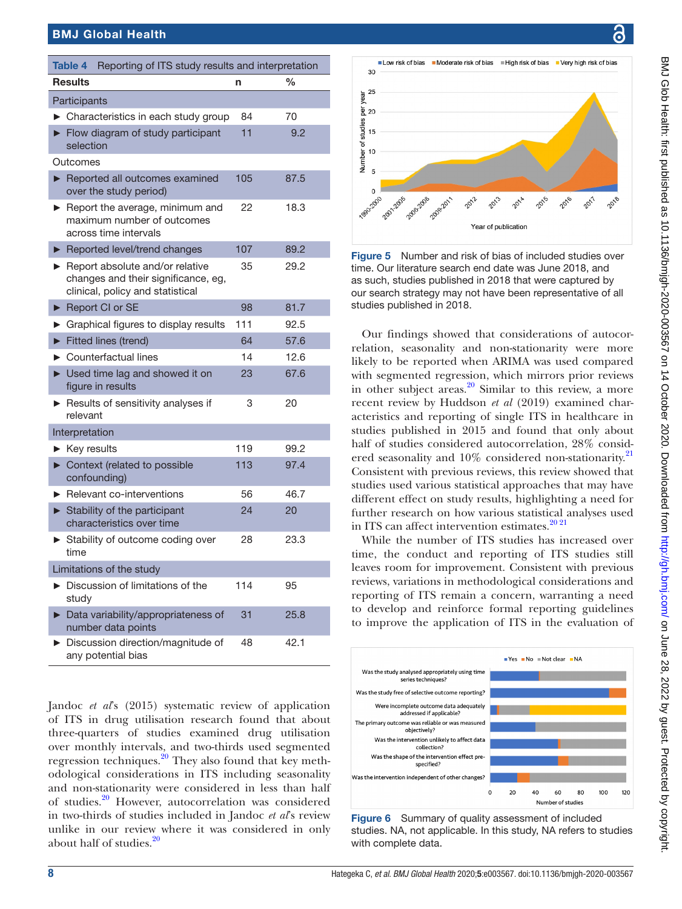<span id="page-7-0"></span>

| Reporting of ITS study results and interpretation<br><b>Table 4</b>                                        |     |      |  |  |
|------------------------------------------------------------------------------------------------------------|-----|------|--|--|
| <b>Results</b>                                                                                             | n   | %    |  |  |
| Participants                                                                                               |     |      |  |  |
| > Characteristics in each study group                                                                      | 84  | 70   |  |  |
| $\blacktriangleright$ Flow diagram of study participant<br>selection                                       | 11  | 9.2  |  |  |
| Outcomes                                                                                                   |     |      |  |  |
| Reported all outcomes examined<br>over the study period)                                                   | 105 | 87.5 |  |  |
| Report the average, minimum and<br>maximum number of outcomes<br>across time intervals                     | 22  | 18.3 |  |  |
| Reported level/trend changes                                                                               | 107 | 89.2 |  |  |
| Report absolute and/or relative<br>changes and their significance, eg,<br>clinical, policy and statistical | 35  | 29.2 |  |  |
| Report CI or SE                                                                                            | 98  | 81.7 |  |  |
| $\triangleright$ Graphical figures to display results                                                      | 111 | 92.5 |  |  |
| Fitted lines (trend)                                                                                       | 64  | 57.6 |  |  |
| $\blacktriangleright$ Counterfactual lines                                                                 | 14  | 12.6 |  |  |
| ▶ Used time lag and showed it on<br>figure in results                                                      | 23  | 67.6 |  |  |
| $\blacktriangleright$ Results of sensitivity analyses if<br>relevant                                       | 3   | 20   |  |  |
| Interpretation                                                                                             |     |      |  |  |
| $\blacktriangleright$ Key results                                                                          | 119 | 99.2 |  |  |
| Context (related to possible<br>confounding)                                                               | 113 | 97.4 |  |  |
| $\blacktriangleright$ Relevant co-interventions                                                            | 56  | 46.7 |  |  |
| $\triangleright$ Stability of the participant<br>characteristics over time                                 | 24  | 20   |  |  |
| ► Stability of outcome coding over<br>time                                                                 | 28  | 23.3 |  |  |
| Limitations of the study                                                                                   |     |      |  |  |
| Discussion of limitations of the<br>study                                                                  | 114 | 95   |  |  |
| Data variability/appropriateness of<br>▶<br>number data points                                             | 31  | 25.8 |  |  |
| Discussion direction/magnitude of<br>any potential bias                                                    | 48  | 42.1 |  |  |

Jandoc *et al*'s (2015) systematic review of application of ITS in drug utilisation research found that about three-quarters of studies examined drug utilisation over monthly intervals, and two-thirds used segmented regression techniques. $^{20}$  $^{20}$  $^{20}$  They also found that key methodological considerations in ITS including seasonality and non-stationarity were considered in less than half of studies.[20](#page-9-16) However, autocorrelation was considered in two-thirds of studies included in Jandoc *et al*'s review unlike in our review where it was considered in only about half of studies. $20$ 



<span id="page-7-1"></span>Figure 5 Number and risk of bias of included studies over time. Our literature search end date was June 2018, and as such, studies published in 2018 that were captured by our search strategy may not have been representative of all studies published in 2018.

Our findings showed that considerations of autocorrelation, seasonality and non-stationarity were more likely to be reported when ARIMA was used compared with segmented regression, which mirrors prior reviews in other subject areas. $20$  Similar to this review, a more recent review by Huddson *et al* (2019) examined characteristics and reporting of single ITS in healthcare in studies published in 2015 and found that only about half of studies considered autocorrelation, 28% consid-ered seasonality and 10% considered non-stationarity.<sup>[21](#page-9-5)</sup> Consistent with previous reviews, this review showed that studies used various statistical approaches that may have different effect on study results, highlighting a need for further research on how various statistical analyses used in ITS can affect intervention estimates. $^{20\,21}$ 

While the number of ITS studies has increased over time, the conduct and reporting of ITS studies still leaves room for improvement. Consistent with previous reviews, variations in methodological considerations and reporting of ITS remain a concern, warranting a need to develop and reinforce formal reporting guidelines to improve the application of ITS in the evaluation of



<span id="page-7-2"></span>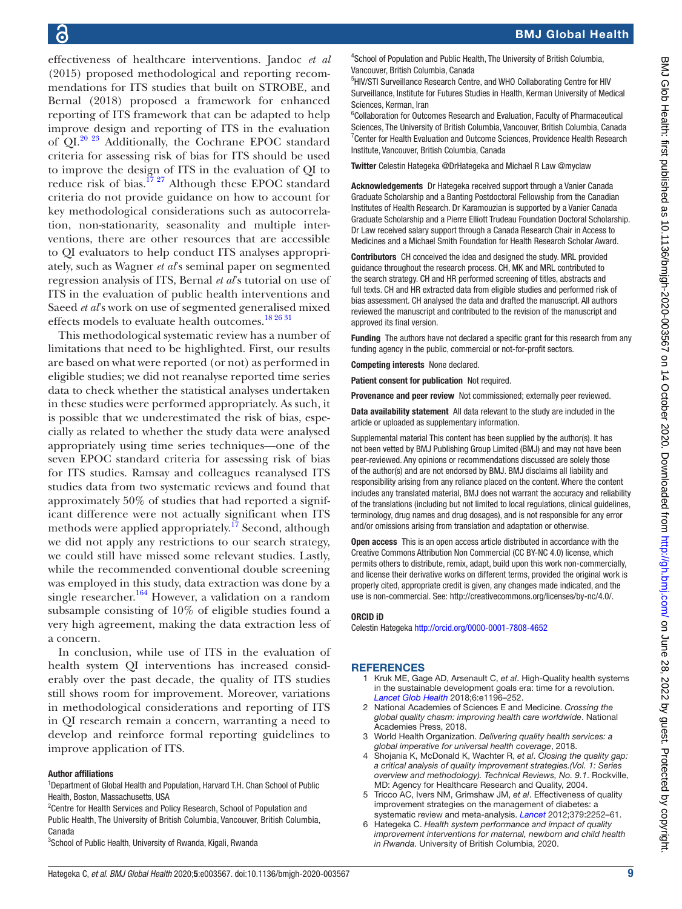effectiveness of healthcare interventions. Jandoc *et al* (2015) proposed methodological and reporting recommendations for ITS studies that built on STROBE, and Bernal (2018) proposed a framework for enhanced reporting of ITS framework that can be adapted to help improve design and reporting of ITS in the evaluation of OI.<sup>20 23</sup> Additionally, the Cochrane EPOC standard criteria for assessing risk of bias for ITS should be used to improve the design of ITS in the evaluation of QI to reduce risk of bias.<sup>17 27</sup> Although these EPOC standard criteria do not provide guidance on how to account for key methodological considerations such as autocorrelation, non-stationarity, seasonality and multiple interventions, there are other resources that are accessible to QI evaluators to help conduct ITS analyses appropriately, such as Wagner *et al*'s seminal paper on segmented regression analysis of ITS, Bernal *et al*'s tutorial on use of ITS in the evaluation of public health interventions and Saeed *et al*'s work on use of segmented generalised mixed effects models to evaluate health outcomes.<sup>[18 26 31](#page-9-7)</sup>

This methodological systematic review has a number of limitations that need to be highlighted. First, our results are based on what were reported (or not) as performed in eligible studies; we did not reanalyse reported time series data to check whether the statistical analyses undertaken in these studies were performed appropriately. As such, it is possible that we underestimated the risk of bias, especially as related to whether the study data were analysed appropriately using time series techniques—one of the seven EPOC standard criteria for assessing risk of bias for ITS studies. Ramsay and colleagues reanalysed ITS studies data from two systematic reviews and found that approximately 50% of studies that had reported a significant difference were not actually significant when ITS methods were applied appropriately.<sup>17</sup> Second, although we did not apply any restrictions to our search strategy, we could still have missed some relevant studies. Lastly, while the recommended conventional double screening was employed in this study, data extraction was done by a single researcher.<sup>164</sup> However, a validation on a random subsample consisting of 10% of eligible studies found a very high agreement, making the data extraction less of a concern.

In conclusion, while use of ITS in the evaluation of health system QI interventions has increased considerably over the past decade, the quality of ITS studies still shows room for improvement. Moreover, variations in methodological considerations and reporting of ITS in QI research remain a concern, warranting a need to develop and reinforce formal reporting guidelines to improve application of ITS.

#### Author affiliations

<sup>1</sup>Department of Global Health and Population, Harvard T.H. Chan School of Public Health, Boston, Massachusetts, USA

<sup>2</sup> Centre for Health Services and Policy Research, School of Population and Public Health, The University of British Columbia, Vancouver, British Columbia, Canada

<sup>3</sup>School of Public Health, University of Rwanda, Kigali, Rwanda

4 School of Population and Public Health, The University of British Columbia, Vancouver, British Columbia, Canada

<sup>5</sup>HIV/STI Surveillance Research Centre, and WHO Collaborating Centre for HIV Surveillance, Institute for Futures Studies in Health, Kerman University of Medical Sciences, Kerman, Iran

<sup>6</sup>Collaboration for Outcomes Research and Evaluation, Faculty of Pharmaceutical Sciences, The University of British Columbia, Vancouver, British Columbia, Canada <sup>7</sup> Center for Health Evaluation and Outcome Sciences, Providence Health Research Institute, Vancouver, British Columbia, Canada

Twitter Celestin Hategeka [@DrHategeka](https://twitter.com/DrHategeka) and Michael R Law [@myclaw](https://twitter.com/myclaw)

Acknowledgements Dr Hategeka received support through a Vanier Canada Graduate Scholarship and a Banting Postdoctoral Fellowship from the Canadian Institutes of Health Research. Dr Karamouzian is supported by a Vanier Canada Graduate Scholarship and a Pierre Elliott Trudeau Foundation Doctoral Scholarship. Dr Law received salary support through a Canada Research Chair in Access to Medicines and a Michael Smith Foundation for Health Research Scholar Award.

Contributors CH conceived the idea and designed the study. MRL provided guidance throughout the research process. CH, MK and MRL contributed to the search strategy. CH and HR performed screening of titles, abstracts and full texts. CH and HR extracted data from eligible studies and performed risk of bias assessment. CH analysed the data and drafted the manuscript. All authors reviewed the manuscript and contributed to the revision of the manuscript and approved its final version.

Funding The authors have not declared a specific grant for this research from any funding agency in the public, commercial or not-for-profit sectors.

Competing interests None declared.

Patient consent for publication Not required.

Provenance and peer review Not commissioned; externally peer reviewed.

Data availability statement All data relevant to the study are included in the article or uploaded as supplementary information.

Supplemental material This content has been supplied by the author(s). It has not been vetted by BMJ Publishing Group Limited (BMJ) and may not have been peer-reviewed. Any opinions or recommendations discussed are solely those of the author(s) and are not endorsed by BMJ. BMJ disclaims all liability and responsibility arising from any reliance placed on the content. Where the content includes any translated material, BMJ does not warrant the accuracy and reliability of the translations (including but not limited to local regulations, clinical guidelines, terminology, drug names and drug dosages), and is not responsible for any error and/or omissions arising from translation and adaptation or otherwise.

Open access This is an open access article distributed in accordance with the Creative Commons Attribution Non Commercial (CC BY-NC 4.0) license, which permits others to distribute, remix, adapt, build upon this work non-commercially, and license their derivative works on different terms, provided the original work is properly cited, appropriate credit is given, any changes made indicated, and the use is non-commercial. See:<http://creativecommons.org/licenses/by-nc/4.0/>.

#### ORCID iD

Celestin Hategeka<http://orcid.org/0000-0001-7808-4652>

#### <span id="page-8-0"></span>**REFERENCES**

- 1 Kruk ME, Gage AD, Arsenault C, *et al*. High-Quality health systems in the sustainable development goals era: time for a revolution. *[Lancet Glob Health](http://dx.doi.org/10.1016/S2214-109X(18)30386-3)* 2018;6:e1196–252.
- 2 National Academies of Sciences E and Medicine. *Crossing the global quality chasm: improving health care worldwide*. National Academies Press, 2018.
- 3 World Health Organization. *Delivering quality health services: a global imperative for universal health coverage*, 2018.
- <span id="page-8-1"></span>4 Shojania K, McDonald K, Wachter R, *et al*. *Closing the quality gap: a critical analysis of quality improvement strategies.(Vol. 1: Series overview and methodology). Technical Reviews, No. 9.1*. Rockville, MD: Agency for Healthcare Research and Quality, 2004.
- 5 Tricco AC, Ivers NM, Grimshaw JM, *et al*. Effectiveness of quality improvement strategies on the management of diabetes: a systematic review and meta-analysis. *[Lancet](http://dx.doi.org/10.1016/S0140-6736(12)60480-2)* 2012;379:2252–61.
- <span id="page-8-2"></span>6 Hategeka C. *Health system performance and impact of quality improvement interventions for maternal, newborn and child health in Rwanda*. University of British Columbia, 2020.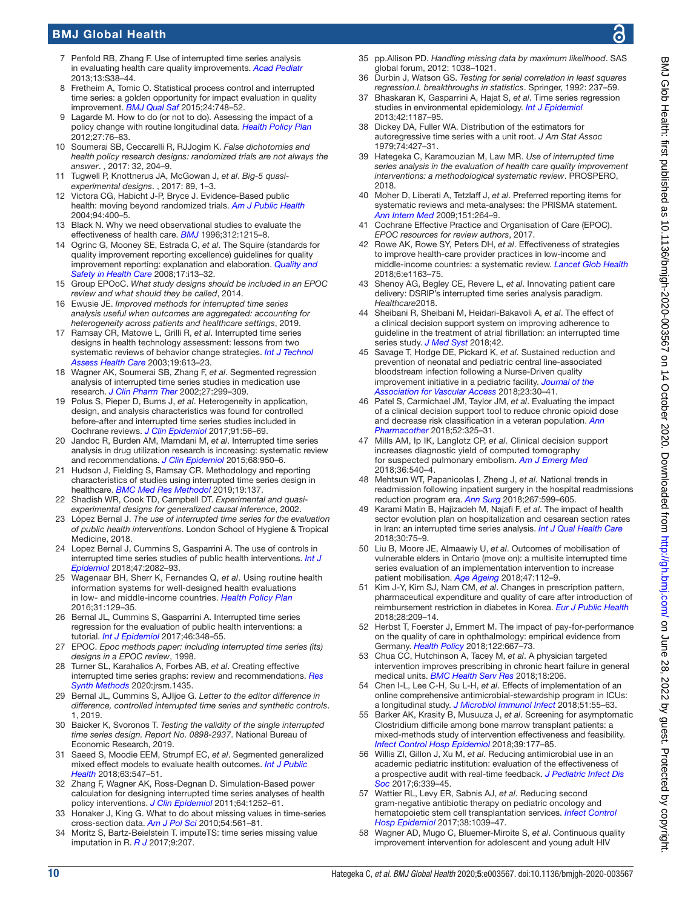# BMJ Global Health

- <span id="page-9-1"></span>7 Penfold RB, Zhang F. Use of interrupted time series analysis in evaluating health care quality improvements. *[Acad Pediatr](http://dx.doi.org/10.1016/j.acap.2013.08.002)* 2013;13:S38–44.
- 8 Fretheim A, Tomic O. Statistical process control and interrupted time series: a golden opportunity for impact evaluation in quality improvement. *[BMJ Qual Saf](http://dx.doi.org/10.1136/bmjqs-2014-003756)* 2015;24:748–52.
- 9 Lagarde M. How to do (or not to do). Assessing the impact of a policy change with routine longitudinal data. *[Health Policy Plan](http://dx.doi.org/10.1093/heapol/czr004)* 2012;27:76–83.
- <span id="page-9-0"></span>10 Soumerai SB, Ceccarelli R, RJJogim K. *False dichotomies and health policy research designs: randomized trials are not always the answer*. , 2017: 32, 204–9.
- 11 Tugwell P, Knottnerus JA, McGowan J, *et al*. *Big-5 quasiexperimental designs*. , 2017: 89, 1–3.
- 12 Victora CG, Habicht J-P, Bryce J. Evidence-Based public health: moving beyond randomized trials. *[Am J Public Health](http://dx.doi.org/10.2105/AJPH.94.3.400)* 2004;94:400–5.
- 13 Black N. Why we need observational studies to evaluate the effectiveness of health care. *[BMJ](http://dx.doi.org/10.1136/bmj.312.7040.1215)* 1996;312:1215–8.
- 14 Ogrinc G, Mooney SE, Estrada C, *et al*. The Squire (standards for quality improvement reporting excellence) guidelines for quality improvement reporting: explanation and elaboration. *[Quality and](http://dx.doi.org/10.1136/qshc.2008.029058)  [Safety in Health Care](http://dx.doi.org/10.1136/qshc.2008.029058)* 2008;17:i13–32.
- <span id="page-9-2"></span>15 Group EPOoC. *What study designs should be included in an EPOC review and what should they be called*, 2014.
- <span id="page-9-3"></span>16 Ewusie JE. *Improved methods for interrupted time series analysis useful when outcomes are aggregated: accounting for heterogeneity across patients and healthcare settings*, 2019.
- <span id="page-9-4"></span>17 Ramsay CR, Matowe L, Grilli R, *et al*. Interrupted time series designs in health technology assessment: lessons from two systematic reviews of behavior change strategies. *[Int J Technol](http://dx.doi.org/10.1017/S0266462303000576)  [Assess Health Care](http://dx.doi.org/10.1017/S0266462303000576)* 2003;19:613–23.
- <span id="page-9-7"></span>18 Wagner AK, Soumerai SB, Zhang F, *et al*. Segmented regression analysis of interrupted time series studies in medication use research. *[J Clin Pharm Ther](http://dx.doi.org/10.1046/j.1365-2710.2002.00430.x)* 2002;27:299–309.
- <span id="page-9-19"></span>19 Polus S, Pieper D, Burns J, *et al*. Heterogeneity in application, design, and analysis characteristics was found for controlled before-after and interrupted time series studies included in Cochrane reviews. *[J Clin Epidemiol](http://dx.doi.org/10.1016/j.jclinepi.2017.07.008)* 2017;91:56–69.
- <span id="page-9-16"></span>20 Jandoc R, Burden AM, Mamdani M, *et al*. Interrupted time series analysis in drug utilization research is increasing: systematic review and recommendations. *[J Clin Epidemiol](http://dx.doi.org/10.1016/j.jclinepi.2014.12.018)* 2015;68:950–6.
- <span id="page-9-5"></span>21 Hudson J, Fielding S, Ramsay CR. Methodology and reporting characteristics of studies using interrupted time series design in healthcare. *[BMC Med Res Methodol](http://dx.doi.org/10.1186/s12874-019-0777-x)* 2019;19:137.
- <span id="page-9-6"></span>22 Shadish WR, Cook TD, Campbell DT. *Experimental and quasiexperimental designs for generalized causal inference*, 2002.
- 23 López Bernal J. *The use of interrupted time series for the evaluation of public health interventions*. London School of Hygiene & Tropical Medicine, 2018.
- <span id="page-9-9"></span>24 Lopez Bernal J, Cummins S, Gasparrini A. The use of controls in interrupted time series studies of public health interventions. *[Int J](http://dx.doi.org/10.1093/ije/dyy135)  [Epidemiol](http://dx.doi.org/10.1093/ije/dyy135)* 2018;47:2082–93.
- <span id="page-9-12"></span>25 Wagenaar BH, Sherr K, Fernandes Q, *et al*. Using routine health information systems for well-designed health evaluations in low- and middle-income countries. *[Health Policy Plan](http://dx.doi.org/10.1093/heapol/czv029)* 2016;31:129–35.
- <span id="page-9-11"></span>26 Bernal JL, Cummins S, Gasparrini A. Interrupted time series regression for the evaluation of public health interventions: a tutorial. *[Int J Epidemiol](http://dx.doi.org/10.1093/ije/dyw098)* 2017;46:348–55.
- 27 EPOC. *Epoc methods paper: including interrupted time series (its) designs in a EPOC review*, 1998.
- 28 Turner SL, Karahalios A, Forbes AB, *et al*. Creating effective interrupted time series graphs: review and recommendations. *[Res](http://dx.doi.org/10.1002/jrsm.1435)  [Synth Methods](http://dx.doi.org/10.1002/jrsm.1435)* 2020:jrsm.1435.
- 29 Bernal JL, Cummins S, AJIjoe G. *Letter to the editor difference in difference, controlled interrupted time series and synthetic controls*. 1, 2019.
- <span id="page-9-8"></span>30 Baicker K, Svoronos T. *Testing the validity of the single interrupted time series design. Report No. 0898-2937*. National Bureau of Economic Research, 2019.
- <span id="page-9-10"></span>31 Saeed S, Moodie EEM, Strumpf EC, *et al*. Segmented generalized mixed effect models to evaluate health outcomes. *[Int J Public](http://dx.doi.org/10.1007/s00038-018-1091-9)  [Health](http://dx.doi.org/10.1007/s00038-018-1091-9)* 2018;63:547–51.
- 32 Zhang F, Wagner AK, Ross-Degnan D. Simulation-Based power calculation for designing interrupted time series analyses of health policy interventions. *[J Clin Epidemiol](http://dx.doi.org/10.1016/j.jclinepi.2011.02.007)* 2011;64:1252–61.
- 33 Honaker J, King G. What to do about missing values in time-series cross-section data. *[Am J Pol Sci](http://dx.doi.org/10.1111/j.1540-5907.2010.00447.x)* 2010;54:561–81.
- 34 Moritz S, Bartz-Beielstein T. imputeTS: time series missing value imputation in R. *[R J](http://dx.doi.org/10.32614/RJ-2017-009)* 2017;9:207.
- 35 pp.Allison PD. *Handling missing data by maximum likelihood*. SAS global forum, 2012: 1038–1021.
- 36 Durbin J, Watson GS. *Testing for serial correlation in least squares regression.I. breakthroughs in statistics*. Springer, 1992: 237–59.
- 37 Bhaskaran K, Gasparrini A, Hajat S, *et al*. Time series regression studies in environmental epidemiology. *[Int J Epidemiol](http://dx.doi.org/10.1093/ije/dyt092)* 2013;42:1187–95.
- <span id="page-9-13"></span>38 Dickey DA, Fuller WA. Distribution of the estimators for autoregressive time series with a unit root. *J Am Stat Assoc* 1979;74:427–31.
- <span id="page-9-14"></span>39 Hategeka C, Karamouzian M, Law MR. *Use of interrupted time series analysis in the evaluation of health care quality improvement interventions: a methodological systematic review*. PROSPERO, 2018.
- <span id="page-9-15"></span>40 Moher D, Liberati A, Tetzlaff J, *et al*. Preferred reporting items for systematic reviews and meta-analyses: the PRISMA statement. *[Ann Intern Med](http://dx.doi.org/10.7326/0003-4819-151-4-200908180-00135)* 2009;151:264–9.
- 41 Cochrane Effective Practice and Organisation of Care (EPOC). *EPOC resources for review authors*, 2017.
- <span id="page-9-17"></span>42 Rowe AK, Rowe SY, Peters DH, *et al*. Effectiveness of strategies to improve health-care provider practices in low-income and middle-income countries: a systematic review. *[Lancet Glob Health](http://dx.doi.org/10.1016/S2214-109X(18)30398-X)* 2018;6:e1163–75.
- <span id="page-9-18"></span>43 Shenoy AG, Begley CE, Revere L, *et al*. Innovating patient care delivery: DSRIP's interrupted time series analysis paradigm. *Healthcare*2018.
- 44 Sheibani R, Sheibani M, Heidari-Bakavoli A, *et al*. The effect of a clinical decision support system on improving adherence to guideline in the treatment of atrial fibrillation: an interrupted time series study. *[J Med Syst](http://dx.doi.org/10.1007/s10916-017-0881-6)* 2018;42.
- 45 Savage T, Hodge DE, Pickard K, *et al*. Sustained reduction and prevention of neonatal and pediatric central line-associated bloodstream infection following a Nurse-Driven quality improvement initiative in a pediatric facility. *[Journal of the](http://dx.doi.org/10.1016/j.java.2017.11.002)  [Association for Vascular Access](http://dx.doi.org/10.1016/j.java.2017.11.002)* 2018;23:30–41.
- 46 Patel S, Carmichael JM, Taylor JM, *et al*. Evaluating the impact of a clinical decision support tool to reduce chronic opioid dose and decrease risk classification in a veteran population. *[Ann](http://dx.doi.org/10.1177/1060028017739388)  [Pharmacother](http://dx.doi.org/10.1177/1060028017739388)* 2018;52:325–31.
- 47 Mills AM, Ip IK, Langlotz CP, *et al*. Clinical decision support increases diagnostic yield of computed tomography for suspected pulmonary embolism. *[Am J Emerg Med](http://dx.doi.org/10.1016/j.ajem.2017.09.004)* 2018;36:540–4.
- 48 Mehtsun WT, Papanicolas I, Zheng J, *et al*. National trends in readmission following inpatient surgery in the hospital readmissions reduction program era. *[Ann Surg](http://dx.doi.org/10.1097/SLA.0000000000002350)* 2018;267:599–605.
- 49 Karami Matin B, Hajizadeh M, Najafi F, *et al*. The impact of health sector evolution plan on hospitalization and cesarean section rates in Iran: an interrupted time series analysis. *[Int J Qual Health Care](http://dx.doi.org/10.1093/intqhc/mzx169)* 2018;30:75–9.
- 50 Liu B, Moore JE, Almaawiy U, *et al*. Outcomes of mobilisation of vulnerable elders in Ontario (move on): a multisite interrupted time series evaluation of an implementation intervention to increase patient mobilisation. *[Age Ageing](http://dx.doi.org/10.1093/ageing/afx128)* 2018;47:112–9.
- 51 Kim J-Y, Kim SJ, Nam CM, *et al*. Changes in prescription pattern, pharmaceutical expenditure and quality of care after introduction of reimbursement restriction in diabetes in Korea. *[Eur J Public Health](http://dx.doi.org/10.1093/eurpub/ckx168)* 2018;28:209–14.
- 52 Herbst T, Foerster J, Emmert M. The impact of pay-for-performance on the quality of care in ophthalmology: empirical evidence from Germany. *[Health Policy](http://dx.doi.org/10.1016/j.healthpol.2018.03.013)* 2018;122:667–73.
- 53 Chua CC, Hutchinson A, Tacey M, *et al*. A physician targeted intervention improves prescribing in chronic heart failure in general medical units. *[BMC Health Serv Res](http://dx.doi.org/10.1186/s12913-018-3009-x)* 2018;18:206.
- 54 Chen I-L, Lee C-H, Su L-H, *et al*. Effects of implementation of an online comprehensive antimicrobial-stewardship program in ICUs: a longitudinal study. *[J Microbiol Immunol Infect](http://dx.doi.org/10.1016/j.jmii.2016.06.007)* 2018;51:55–63.
- 55 Barker AK, Krasity B, Musuuza J, *et al*. Screening for asymptomatic Clostridium difficile among bone marrow transplant patients: a mixed-methods study of intervention effectiveness and feasibility. *[Infect Control Hosp Epidemiol](http://dx.doi.org/10.1017/ice.2017.286)* 2018;39:177–85.
- 56 Willis ZI, Gillon J, Xu M, *et al*. Reducing antimicrobial use in an academic pediatric institution: evaluation of the effectiveness of a prospective audit with real-time feedback. *[J Pediatric Infect Dis](http://dx.doi.org/10.1093/jpids/piw054)  [Soc](http://dx.doi.org/10.1093/jpids/piw054)* 2017;6:339–45.
- 57 Wattier RL, Levy ER, Sabnis AJ, *et al*. Reducing second gram-negative antibiotic therapy on pediatric oncology and hematopoietic stem cell transplantation services. *[Infect Control](http://dx.doi.org/10.1017/ice.2017.118)  [Hosp Epidemiol](http://dx.doi.org/10.1017/ice.2017.118)* 2017;38:1039–47.
- 58 Wagner AD, Mugo C, Bluemer-Miroite S, *et al*. Continuous quality improvement intervention for adolescent and young adult HIV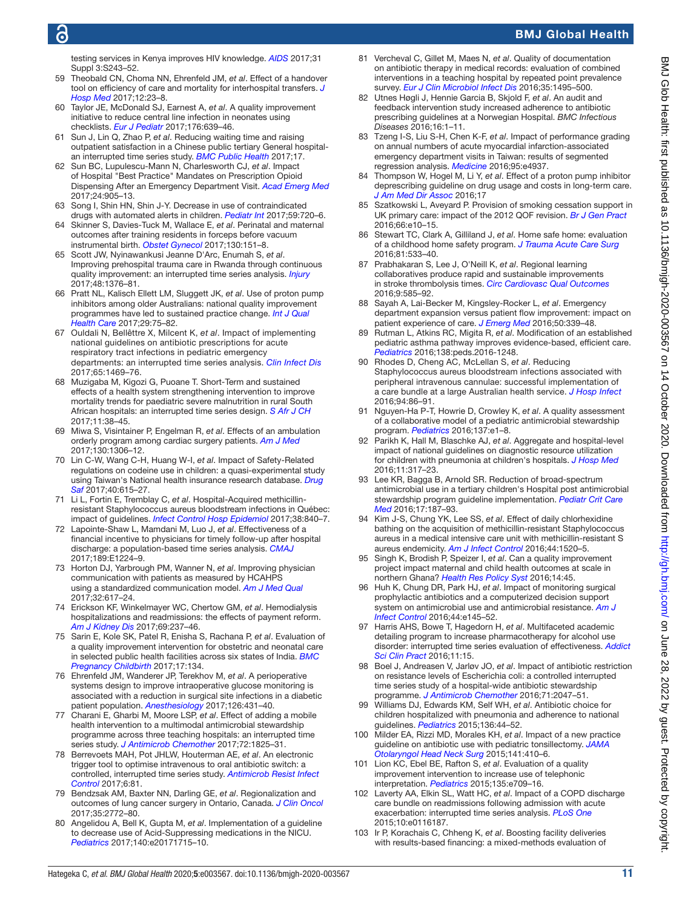# a

## BMJ Global Health

testing services in Kenya improves HIV knowledge. *[AIDS](http://dx.doi.org/10.1097/QAD.0000000000001531)* 2017;31 Suppl 3:S243–52.

- Theobald CN, Choma NN, Ehrenfeld JM, et al. Effect of a handover tool on efficiency of care and mortality for interhospital transfers. *[J](http://dx.doi.org/10.1002/jhm.2669)  [Hosp Med](http://dx.doi.org/10.1002/jhm.2669)* 2017;12:23–8.
- 60 Taylor JE, McDonald SJ, Earnest A, *et al*. A quality improvement initiative to reduce central line infection in neonates using checklists. *[Eur J Pediatr](http://dx.doi.org/10.1007/s00431-017-2888-x)* 2017;176:639–46.
- 61 Sun J, Lin Q, Zhao P, *et al*. Reducing waiting time and raising outpatient satisfaction in a Chinese public tertiary General hospitalan interrupted time series study. *[BMC Public Health](http://dx.doi.org/10.1186/s12889-017-4667-z)* 2017;17.
- 62 Sun BC, Lupulescu-Mann N, Charlesworth CJ, *et al*. Impact of Hospital "Best Practice" Mandates on Prescription Opioid Dispensing After an Emergency Department Visit. *[Acad Emerg Med](http://dx.doi.org/10.1111/acem.13230)* 2017;24:905–13.
- 63 Song I, Shin HN, Shin J-Y. Decrease in use of contraindicated drugs with automated alerts in children. *[Pediatr Int](http://dx.doi.org/10.1111/ped.13258)* 2017;59:720–6.
- 64 Skinner S, Davies-Tuck M, Wallace E, *et al*. Perinatal and maternal outcomes after training residents in forceps before vacuum instrumental birth. *[Obstet Gynecol](http://dx.doi.org/10.1097/AOG.0000000000002097)* 2017;130:151–8.
- 65 Scott JW, Nyinawankusi Jeanne D'Arc, Enumah S, *et al*. Improving prehospital trauma care in Rwanda through continuous quality improvement: an interrupted time series analysis. *[Injury](http://dx.doi.org/10.1016/j.injury.2017.03.050)* 2017;48:1376–81.
- 66 Pratt NL, Kalisch Ellett LM, Sluggett JK, *et al*. Use of proton pump inhibitors among older Australians: national quality improvement programmes have led to sustained practice change. *[Int J Qual](http://dx.doi.org/10.1093/intqhc/mzw138)  [Health Care](http://dx.doi.org/10.1093/intqhc/mzw138)* 2017;29:75–82.
- 67 Ouldali N, Bellêttre X, Milcent K, *et al*. Impact of implementing national guidelines on antibiotic prescriptions for acute respiratory tract infections in pediatric emergency departments: an interrupted time series analysis. *[Clin Infect Dis](http://dx.doi.org/10.1093/cid/cix590)* 2017;65:1469–76.
- 68 Muzigaba M, Kigozi G, Puoane T. Short-Term and sustained effects of a health system strengthening intervention to improve mortality trends for paediatric severe malnutrition in rural South African hospitals: an interrupted time series design. *[S Afr J CH](http://dx.doi.org/10.7196/SAJCH.2017.v11i1.1201)* 2017;11:38–45.
- 69 Miwa S, Visintainer P, Engelman R, *et al*. Effects of an ambulation orderly program among cardiac surgery patients. *[Am J Med](http://dx.doi.org/10.1016/j.amjmed.2017.04.044)* 2017;130:1306–12.
- 70 Lin C-W, Wang C-H, Huang W-I, *et al*. Impact of Safety-Related regulations on codeine use in children: a quasi-experimental study using Taiwan's National health insurance research database. *[Drug](http://dx.doi.org/10.1007/s40264-017-0524-3)  [Saf](http://dx.doi.org/10.1007/s40264-017-0524-3)* 2017;40:615–27.
- 71 Li L, Fortin E, Tremblay C, *et al*. Hospital-Acquired methicillinresistant Staphylococcus aureus bloodstream infections in Québec: impact of guidelines. *[Infect Control Hosp Epidemiol](http://dx.doi.org/10.1017/ice.2017.81)* 2017;38:840–7.
- 72 Lapointe-Shaw L, Mamdani M, Luo J, *et al*. Effectiveness of a financial incentive to physicians for timely follow-up after hospital discharge: a population-based time series analysis. *[CMAJ](http://dx.doi.org/10.1503/cmaj.170092)* 2017;189:E1224–9.
- 73 Horton DJ, Yarbrough PM, Wanner N, *et al*. Improving physician communication with patients as measured by HCAHPS using a standardized communication model. *[Am J Med Qual](http://dx.doi.org/10.1177/1062860616689592)* 2017;32:617–24.
- 74 Erickson KF, Winkelmayer WC, Chertow GM, *et al*. Hemodialysis hospitalizations and readmissions: the effects of payment reform. *[Am J Kidney Dis](http://dx.doi.org/10.1053/j.ajkd.2016.08.033)* 2017;69:237–46.
- 75 Sarin E, Kole SK, Patel R, Enisha S, Rachana P, *et al*. Evaluation of a quality improvement intervention for obstetric and neonatal care in selected public health facilities across six states of India. *[BMC](http://dx.doi.org/10.1186/s12884-017-1318-4)  [Pregnancy Childbirth](http://dx.doi.org/10.1186/s12884-017-1318-4)* 2017;17:134.
- 76 Ehrenfeld JM, Wanderer JP, Terekhov M, *et al*. A perioperative systems design to improve intraoperative glucose monitoring is associated with a reduction in surgical site infections in a diabetic patient population. *[Anesthesiology](http://dx.doi.org/10.1097/ALN.0000000000001516)* 2017;126:431–40.
- 77 Charani E, Gharbi M, Moore LSP, *et al*. Effect of adding a mobile health intervention to a multimodal antimicrobial stewardship programme across three teaching hospitals: an interrupted time series study. *[J Antimicrob Chemother](http://dx.doi.org/10.1093/jac/dkx040)* 2017;72:1825–31.
- 78 Berrevoets MAH, Pot JHLW, Houterman AE, *et al*. An electronic trigger tool to optimise intravenous to oral antibiotic switch: a controlled, interrupted time series study. *[Antimicrob Resist Infect](http://dx.doi.org/10.1186/s13756-017-0239-3)  [Control](http://dx.doi.org/10.1186/s13756-017-0239-3)* 2017;6:81.
- 79 Bendzsak AM, Baxter NN, Darling GE, *et al*. Regionalization and outcomes of lung cancer surgery in Ontario, Canada. *[J Clin Oncol](http://dx.doi.org/10.1200/JCO.2016.69.8076)* 2017;35:2772–80.
- 80 Angelidou A, Bell K, Gupta M, *et al*. Implementation of a guideline to decrease use of Acid-Suppressing medications in the NICU. *[Pediatrics](http://dx.doi.org/10.1542/peds.2017-1715)* 2017;140:e20171715–10.
- 81 Vercheval C, Gillet M, Maes N, *et al*. Quality of documentation on antibiotic therapy in medical records: evaluation of combined interventions in a teaching hospital by repeated point prevalence survey. *[Eur J Clin Microbiol Infect Dis](http://dx.doi.org/10.1007/s10096-016-2690-0)* 2016;35:1495–500.
- 82 Utnes Høgli J, Hennie Garcia B, Skjold F, *et al*. An audit and feedback intervention study increased adherence to antibiotic prescribing guidelines at a Norwegian Hospital. *BMC Infectious Diseases* 2016;16:1–11.
- 83 Tzeng I-S, Liu S-H, Chen K-F, *et al*. Impact of performance grading on annual numbers of acute myocardial infarction-associated emergency department visits in Taiwan: results of segmented regression analysis. *[Medicine](http://dx.doi.org/10.1097/MD.0000000000004937)* 2016;95:e4937.
- 84 Thompson W, Hogel M, Li Y, *et al*. Effect of a proton pump inhibitor deprescribing guideline on drug usage and costs in long-term care. *[J Am Med Dir Assoc](http://dx.doi.org/10.1016/j.jamda.2016.04.020)* 2016;17
- Szatkowski L, Aveyard P. Provision of smoking cessation support in UK primary care: impact of the 2012 QOF revision. *[Br J Gen Pract](http://dx.doi.org/10.3399/bjgp15X688117)* 2016;66:e10–15.
- 86 Stewart TC, Clark A, Gilliland J, *et al*. Home safe home: evaluation of a childhood home safety program. *[J Trauma Acute Care Surg](http://dx.doi.org/10.1097/TA.0000000000001148)* 2016;81:533–40.
- 87 Prabhakaran S, Lee J, O'Neill K, *et al*. Regional learning collaboratives produce rapid and sustainable improvements in stroke thrombolysis times. *[Circ Cardiovasc Qual Outcomes](http://dx.doi.org/10.1161/CIRCOUTCOMES.116.003222)* 2016;9:585–92.
- 88 Sayah A, Lai-Becker M, Kingsley-Rocker L, *et al*. Emergency department expansion versus patient flow improvement: impact on patient experience of care. *[J Emerg Med](http://dx.doi.org/10.1016/j.jemermed.2015.06.068)* 2016;50:339–48.
- 89 Rutman L, Atkins RC, Migita R, *et al*. Modification of an established pediatric asthma pathway improves evidence-based, efficient care. *[Pediatrics](http://dx.doi.org/10.1542/peds.2016-1248)* 2016;138:peds.2016-1248.
- 90 Rhodes D, Cheng AC, McLellan S, *et al*. Reducing Staphylococcus aureus bloodstream infections associated with peripheral intravenous cannulae: successful implementation of a care bundle at a large Australian health service. *[J Hosp Infect](http://dx.doi.org/10.1016/j.jhin.2016.05.020)* 2016;94:86–91.
- 91 Nguyen-Ha P-T, Howrie D, Crowley K, *et al*. A quality assessment of a collaborative model of a pediatric antimicrobial stewardship program. *[Pediatrics](http://dx.doi.org/10.1542/peds.2015-0316)* 2016;137:e1–8.
- 92 Parikh K, Hall M, Blaschke AJ, *et al*. Aggregate and hospital-level impact of national guidelines on diagnostic resource utilization for children with pneumonia at children's hospitals. *[J Hosp Med](http://dx.doi.org/10.1002/jhm.2534)* 2016;11:317–23.
- 93 Lee KR, Bagga B, Arnold SR. Reduction of broad-spectrum antimicrobial use in a tertiary children's Hospital post antimicrobial stewardship program guideline implementation. *[Pediatr Crit Care](http://dx.doi.org/10.1097/PCC.0000000000000615)  [Med](http://dx.doi.org/10.1097/PCC.0000000000000615)* 2016;17:187–93.
- 94 Kim J-S, Chung YK, Lee SS, *et al*. Effect of daily chlorhexidine bathing on the acquisition of methicillin-resistant Staphylococcus aureus in a medical intensive care unit with methicillin-resistant S aureus endemicity. *[Am J Infect Control](http://dx.doi.org/10.1016/j.ajic.2016.04.252)* 2016;44:1520–5.
- 95 Singh K, Brodish P, Speizer I, *et al*. Can a quality improvement project impact maternal and child health outcomes at scale in northern Ghana? *[Health Res Policy Syst](http://dx.doi.org/10.1186/s12961-016-0115-2)* 2016;14:45.
- 96 Huh K, Chung DR, Park HJ, *et al*. Impact of monitoring surgical prophylactic antibiotics and a computerized decision support system on antimicrobial use and antimicrobial resistance. *[Am J](http://dx.doi.org/10.1016/j.ajic.2016.01.025)  [Infect Control](http://dx.doi.org/10.1016/j.ajic.2016.01.025)* 2016;44:e145–52.
- 97 Harris AHS, Bowe T, Hagedorn H, *et al*. Multifaceted academic detailing program to increase pharmacotherapy for alcohol use disorder: interrupted time series evaluation of effectiveness. *[Addict](http://dx.doi.org/10.1186/s13722-016-0063-8)  [Sci Clin Pract](http://dx.doi.org/10.1186/s13722-016-0063-8)* 2016;11:15.
- 98 Boel J, Andreasen V, Jarløv JO, *et al*. Impact of antibiotic restriction on resistance levels of Escherichia coli: a controlled interrupted time series study of a hospital-wide antibiotic stewardship programme. *[J Antimicrob Chemother](http://dx.doi.org/10.1093/jac/dkw055)* 2016;71:2047–51.
- 99 Williams DJ, Edwards KM, Self WH, *et al*. Antibiotic choice for children hospitalized with pneumonia and adherence to national guidelines. *[Pediatrics](http://dx.doi.org/10.1542/peds.2014-3047)* 2015;136:44–52.
- 100 Milder EA, Rizzi MD, Morales KH, *et al*. Impact of a new practice guideline on antibiotic use with pediatric tonsillectomy. *[JAMA](http://dx.doi.org/10.1001/jamaoto.2015.95)  [Otolaryngol Head Neck Surg](http://dx.doi.org/10.1001/jamaoto.2015.95)* 2015;141:410–6.
- 101 Lion KC, Ebel BE, Rafton S, *et al*. Evaluation of a quality improvement intervention to increase use of telephonic interpretation. *[Pediatrics](http://dx.doi.org/10.1542/peds.2014-2024)* 2015;135:e709–16.
- 102 Laverty AA, Elkin SL, Watt HC, *et al*. Impact of a COPD discharge care bundle on readmissions following admission with acute exacerbation: interrupted time series analysis. *[PLoS One](http://dx.doi.org/10.1371/journal.pone.0116187)* 2015;10:e0116187.
- 103 Ir P, Korachais C, Chheng K, *et al*. Boosting facility deliveries with results-based financing: a mixed-methods evaluation of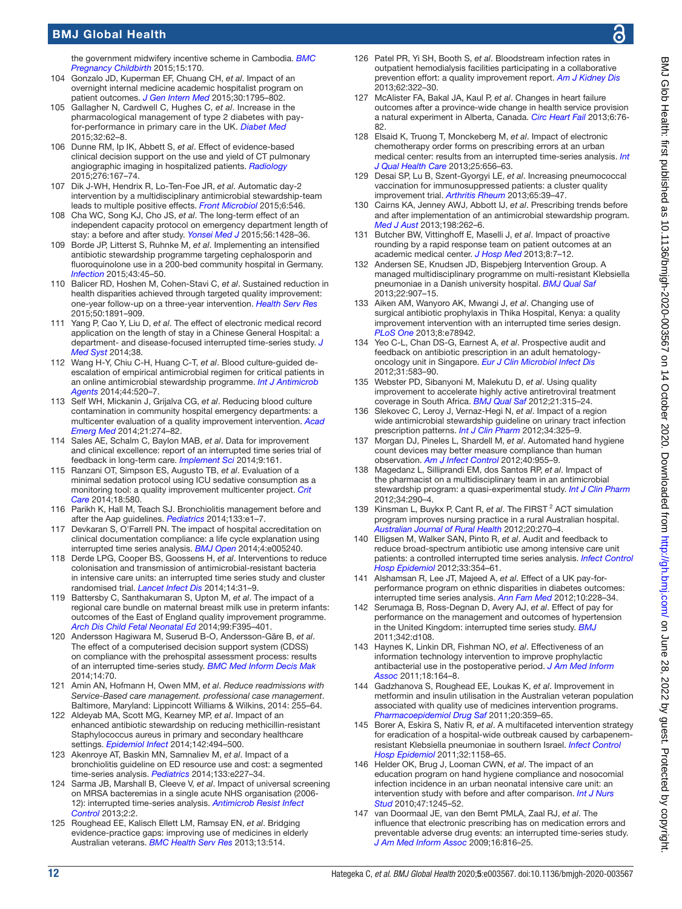# BMJ Global Health

the government midwifery incentive scheme in Cambodia. *[BMC](http://dx.doi.org/10.1186/s12884-015-0589-x)  [Pregnancy Childbirth](http://dx.doi.org/10.1186/s12884-015-0589-x)* 2015;15:170.

- 104 Gonzalo JD, Kuperman EF, Chuang CH, *et al*. Impact of an overnight internal medicine academic hospitalist program on patient outcomes. *[J Gen Intern Med](http://dx.doi.org/10.1007/s11606-015-3389-0)* 2015;30:1795–802.
- 105 Gallagher N, Cardwell C, Hughes C, *et al*. Increase in the pharmacological management of type 2 diabetes with payfor-performance in primary care in the UK. *[Diabet Med](http://dx.doi.org/10.1111/dme.12575)* 2015;32:62–8.
- 106 Dunne RM, Ip IK, Abbett S, *et al*. Effect of evidence-based clinical decision support on the use and yield of CT pulmonary angiographic imaging in hospitalized patients. *[Radiology](http://dx.doi.org/10.1148/radiol.15141208)* 2015;276:167–74.
- 107 Dik J-WH, Hendrix R, Lo-Ten-Foe JR, *et al*. Automatic day-2 intervention by a multidisciplinary antimicrobial stewardship-team leads to multiple positive effects. *[Front Microbiol](http://dx.doi.org/10.3389/fmicb.2015.00546)* 2015;6:546.
- 108 Cha WC, Song KJ, Cho JS, *et al*. The long-term effect of an independent capacity protocol on emergency department length of stay: a before and after study. *[Yonsei Med J](http://dx.doi.org/10.3349/ymj.2015.56.5.1428)* 2015;56:1428–36.
- 109 Borde JP, Litterst S, Ruhnke M, *et al*. Implementing an intensified antibiotic stewardship programme targeting cephalosporin and fluoroquinolone use in a 200-bed community hospital in Germany. *[Infection](http://dx.doi.org/10.1007/s15010-014-0693-2)* 2015;43:45–50.
- 110 Balicer RD, Hoshen M, Cohen-Stavi C, *et al*. Sustained reduction in health disparities achieved through targeted quality improvement: one-year follow-up on a three-year intervention. *[Health Serv Res](http://dx.doi.org/10.1111/1475-6773.12300)* 2015;50:1891–909.
- 111 Yang P, Cao Y, Liu D, *et al*. The effect of electronic medical record application on the length of stay in a Chinese General Hospital: a department- and disease-focused interrupted time-series study. *[J](http://dx.doi.org/10.1007/s10916-014-0053-x)  [Med Syst](http://dx.doi.org/10.1007/s10916-014-0053-x)* 2014;38.
- 112 Wang H-Y, Chiu C-H, Huang C-T, *et al*. Blood culture-guided deescalation of empirical antimicrobial regimen for critical patients in an online antimicrobial stewardship programme. *[Int J Antimicrob](http://dx.doi.org/10.1016/j.ijantimicag.2014.07.025)  [Agents](http://dx.doi.org/10.1016/j.ijantimicag.2014.07.025)* 2014;44:520–7.
- 113 Self WH, Mickanin J, Grijalva CG, *et al*. Reducing blood culture contamination in community hospital emergency departments: a multicenter evaluation of a quality improvement intervention. *[Acad](http://dx.doi.org/10.1111/acem.12337)  [Emerg Med](http://dx.doi.org/10.1111/acem.12337)* 2014;21:274–82.
- 114 Sales AE, Schalm C, Baylon MAB, *et al*. Data for improvement and clinical excellence: report of an interrupted time series trial of feedback in long-term care. *[Implement Sci](http://dx.doi.org/10.1186/s13012-014-0161-5)* 2014;9:161.
- 115 Ranzani OT, Simpson ES, Augusto TB, *et al*. Evaluation of a minimal sedation protocol using ICU sedative consumption as a monitoring tool: a quality improvement multicenter project. *[Crit](http://dx.doi.org/10.1186/s13054-014-0580-3)  [Care](http://dx.doi.org/10.1186/s13054-014-0580-3)* 2014;18:580.
- 116 Parikh K, Hall M, Teach SJ. Bronchiolitis management before and after the Aap guidelines. *[Pediatrics](http://dx.doi.org/10.1542/peds.2013-2005)* 2014;133:e1–7.
- 117 Devkaran S, O'Farrell PN. The impact of hospital accreditation on clinical documentation compliance: a life cycle explanation using interrupted time series analysis. *[BMJ Open](http://dx.doi.org/10.1136/bmjopen-2014-005240)* 2014;4:e005240.
- 118 Derde LPG, Cooper BS, Goossens H, *et al*. Interventions to reduce colonisation and transmission of antimicrobial-resistant bacteria in intensive care units: an interrupted time series study and cluster randomised trial. *[Lancet Infect Dis](http://dx.doi.org/10.1016/S1473-3099(13)70295-0)* 2014;14:31–9.
- 119 Battersby C, Santhakumaran S, Upton M, *et al*. The impact of a regional care bundle on maternal breast milk use in preterm infants: outcomes of the East of England quality improvement programme. *[Arch Dis Child Fetal Neonatal Ed](http://dx.doi.org/10.1136/archdischild-2013-305475)* 2014;99:F395–401.
- 120 Andersson Hagiwara M, Suserud B-O, Andersson-Gäre B, *et al*. The effect of a computerised decision support system (CDSS) on compliance with the prehospital assessment process: results of an interrupted time-series study. *[BMC Med Inform Decis Mak](http://dx.doi.org/10.1186/1472-6947-14-70)* 2014;14:70.
- 121 Amin AN, Hofmann H, Owen MM, *et al*. *Reduce readmissions with Service-Based care management. professional case management*. Baltimore, Maryland: Lippincott Williams & Wilkins, 2014: 255–64.
- 122 Aldeyab MA, Scott MG, Kearney MP, *et al*. Impact of an enhanced antibiotic stewardship on reducing methicillin-resistant Staphylococcus aureus in primary and secondary healthcare settings. *[Epidemiol Infect](http://dx.doi.org/10.1017/S0950268813001374)* 2014;142:494–500.
- 123 Akenroye AT, Baskin MN, Samnaliev M, *et al*. Impact of a bronchiolitis guideline on ED resource use and cost: a segmented time-series analysis. *[Pediatrics](http://dx.doi.org/10.1542/peds.2013-1991)* 2014;133:e227–34.
- 124 Sarma JB, Marshall B, Cleeve V, *et al*. Impact of universal screening on MRSA bacteremias in a single acute NHS organisation (2006- 12): interrupted time-series analysis. *[Antimicrob Resist Infect](http://dx.doi.org/10.1186/2047-2994-2-2)  [Control](http://dx.doi.org/10.1186/2047-2994-2-2)* 2013;2:2.
- 125 Roughead EE, Kalisch Ellett LM, Ramsay EN, *et al*. Bridging evidence-practice gaps: improving use of medicines in elderly Australian veterans. *[BMC Health Serv Res](http://dx.doi.org/10.1186/1472-6963-13-514)* 2013;13:514.
- 126 Patel PR, Yi SH, Booth S, *et al*. Bloodstream infection rates in outpatient hemodialysis facilities participating in a collaborative prevention effort: a quality improvement report. *[Am J Kidney Dis](http://dx.doi.org/10.1053/j.ajkd.2013.03.011)* 2013;62:322–30.
- 127 McAlister FA, Bakal JA, Kaul P, *et al*. Changes in heart failure outcomes after a province-wide change in health service provision a natural experiment in Alberta, Canada. *[Circ Heart Fail](http://dx.doi.org/10.1161/CIRCHEARTFAILURE.112.971119)* 2013;6:76- 82.
- 128 Elsaid K, Truong T, Monckeberg M, *et al*. Impact of electronic chemotherapy order forms on prescribing errors at an urban medical center: results from an interrupted time-series analysis. *[Int](http://dx.doi.org/10.1093/intqhc/mzt067)  [J Qual Health Care](http://dx.doi.org/10.1093/intqhc/mzt067)* 2013;25:656–63.
- 129 Desai SP, Lu B, Szent-Gyorgyi LE, *et al*. Increasing pneumococcal vaccination for immunosuppressed patients: a cluster quality improvement trial. *[Arthritis Rheum](http://dx.doi.org/10.1002/art.37716)* 2013;65:39–47.
- 130 Cairns KA, Jenney AWJ, Abbott IJ, *et al*. Prescribing trends before and after implementation of an antimicrobial stewardship program. *[Med J Aust](http://dx.doi.org/10.5694/mja12.11683)* 2013;198:262–6.
- 131 Butcher BW, Vittinghoff E, Maselli J, *et al*. Impact of proactive rounding by a rapid response team on patient outcomes at an academic medical center. *[J Hosp Med](http://dx.doi.org/10.1002/jhm.1977)* 2013;8:7–12.
- 132 Andersen SE, Knudsen JD, Bispebjerg Intervention Group. A managed multidisciplinary programme on multi-resistant Klebsiella pneumoniae in a Danish university hospital. *[BMJ Qual Saf](http://dx.doi.org/10.1136/bmjqs-2012-001791)* 2013;22:907–15.
- 133 Aiken AM, Wanyoro AK, Mwangi J, *et al*. Changing use of surgical antibiotic prophylaxis in Thika Hospital, Kenya: a quality improvement intervention with an interrupted time series design. *[PLoS One](http://dx.doi.org/10.1371/journal.pone.0078942)* 2013;8:e78942.
- 134 Yeo C-L, Chan DS-G, Earnest A, *et al*. Prospective audit and feedback on antibiotic prescription in an adult hematologyoncology unit in Singapore. *[Eur J Clin Microbiol Infect Dis](http://dx.doi.org/10.1007/s10096-011-1351-6)* 2012;31:583–90.
- 135 Webster PD, Sibanyoni M, Malekutu D, *et al*. Using quality improvement to accelerate highly active antiretroviral treatment coverage in South Africa. *[BMJ Qual Saf](http://dx.doi.org/10.1136/bmjqs-2011-000381)* 2012;21:315–24.
- 136 Slekovec C, Leroy J, Vernaz-Hegi N, *et al*. Impact of a region wide antimicrobial stewardship guideline on urinary tract infection prescription patterns. *[Int J Clin Pharm](http://dx.doi.org/10.1007/s11096-012-9606-6)* 2012;34:325–9.
- 137 Morgan DJ, Pineles L, Shardell M, *et al*. Automated hand hygiene count devices may better measure compliance than human observation. *[Am J Infect Control](http://dx.doi.org/10.1016/j.ajic.2012.01.026)* 2012;40:955–9.
- 138 Magedanz L, Silliprandi EM, dos Santos RP, *et al*. Impact of the pharmacist on a multidisciplinary team in an antimicrobial stewardship program: a quasi-experimental study. *[Int J Clin Pharm](http://dx.doi.org/10.1007/s11096-012-9621-7)* 2012;34:290–4.
- 139 Kinsman L, Buykx P, Cant R, et al. The FIRST<sup>2</sup> ACT simulation program improves nursing practice in a rural Australian hospital. *[Australian Journal of Rural Health](http://dx.doi.org/10.1111/j.1440-1584.2012.01296.x)* 2012;20:270–4.
- 140 Elligsen M, Walker SAN, Pinto R, *et al*. Audit and feedback to reduce broad-spectrum antibiotic use among intensive care unit patients: a controlled interrupted time series analysis. *[Infect Control](http://dx.doi.org/10.1086/664757) [Hosp Epidemiol](http://dx.doi.org/10.1086/664757)* 2012;33:354–61.
- 141 Alshamsan R, Lee JT, Majeed A, *et al*. Effect of a UK pay-forperformance program on ethnic disparities in diabetes outcomes: interrupted time series analysis. *[Ann Fam Med](http://dx.doi.org/10.1370/afm.1335)* 2012;10:228–34.
- 142 Serumaga B, Ross-Degnan D, Avery AJ, *et al*. Effect of pay for performance on the management and outcomes of hypertension in the United Kingdom: interrupted time series study. *[BMJ](http://dx.doi.org/10.1136/bmj.d108)* 2011;342:d108.
- 143 Haynes K, Linkin DR, Fishman NO, *et al*. Effectiveness of an information technology intervention to improve prophylactic antibacterial use in the postoperative period. *[J Am Med Inform](http://dx.doi.org/10.1136/jamia.2009.002998)  [Assoc](http://dx.doi.org/10.1136/jamia.2009.002998)* 2011;18:164–8.
- 144 Gadzhanova S, Roughead EE, Loukas K, *et al*. Improvement in metformin and insulin utilisation in the Australian veteran population associated with quality use of medicines intervention programs. *[Pharmacoepidemiol Drug Saf](http://dx.doi.org/10.1002/pds.2094)* 2011;20:359–65.
- 145 Borer A, Eskira S, Nativ R, *et al*. A multifaceted intervention strategy for eradication of a hospital-wide outbreak caused by carbapenemresistant Klebsiella pneumoniae in southern Israel. *[Infect Control](http://dx.doi.org/10.1086/662620)  [Hosp Epidemiol](http://dx.doi.org/10.1086/662620)* 2011;32:1158–65.
- 146 Helder OK, Brug J, Looman CWN, *et al*. The impact of an education program on hand hygiene compliance and nosocomial infection incidence in an urban neonatal intensive care unit: an intervention study with before and after comparison. *[Int J Nurs](http://dx.doi.org/10.1016/j.ijnurstu.2010.03.005)  [Stud](http://dx.doi.org/10.1016/j.ijnurstu.2010.03.005)* 2010;47:1245–52.
- 147 van Doormaal JE, van den Bemt PMLA, Zaal RJ, *et al*. The influence that electronic prescribing has on medication errors and preventable adverse drug events: an interrupted time-series study. *[J Am Med Inform Assoc](http://dx.doi.org/10.1197/jamia.M3099)* 2009;16:816–25.